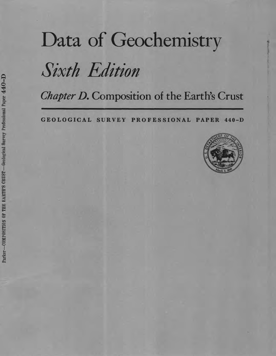# Data of Geochemistry

# Sixth Edition

*Chapter D.* Composition of the Earth's Crust

**GEOLOGICAL SURVEY PROFESSIONAL PAPER 440-D**

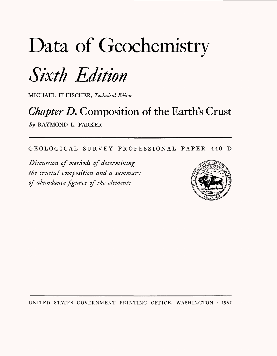# Data of Geochemistry

# Sixth Edition

MICHAEL FLEISCHER, *Technical Editor*

# *Chapter D.* Composition of the Earth's Crust *By* RAYMOND L. PARKER

GEOLOGICAL SURVEY PROFESSIONAL PAPER 440-D

*Discussion of methods of determining the crustal composition and a summary of abundance figures of the elements*



UNITED STATES GOVERNMENT PRINTING OFFICE, WASHINGTON : 1967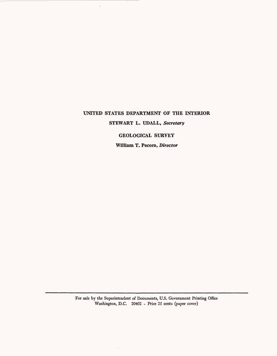# **UNITED STATES DEPARTMENT OF THE INTERIOR STEWART L. UDALL,** *Secretary*

 $\overline{\phantom{a}}$ 

**GEOLOGICAL SURVEY** 

**William T. Pecora,** *Director*

For sale by the Superintendent of Documents, U.S. Government Printing Office Washington, D.C. 20402 - Price 25 cents (paper cover)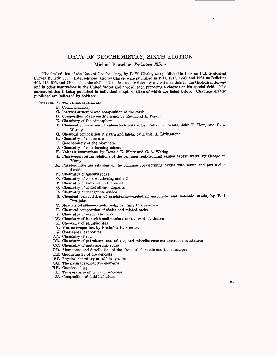# DATA OF GEOCHEMISTRY, SIXTH EDITION

Michael Fleischer, *Technical Editor*

The first edition of the Data of Geochemistry, by F. W. Clarke, was published in 1908 as U.S. **Geological**  Survey Bulletin 330. Later editions, also by Clarke, were published in 1911, 1916, 1920, and 1924 as Bulletins 491, 616, 695, and 770. This, the sixth edition, has been written by several scientists in the Geological Survey and in other institutions in the United States and abroad, each preparing a chapter on his special field. The current edition is being published in individual chapters, titles of which are listed below. Chapters already published are indicated by boldface.

CHAPTEB A. The chemical elements

- B. Cosmochemistry
- C. Internal structure and composition of the earth
- **D. Composition of the earth's crust,** by Raymond L. Parker
- E. Chemistry of the atmosphere
- **F. Chemical composition of subsurface** waters, by Donald E. White, John D. Hem, and G. A. Waring
- **G. Chemical composition of rivers and lakes,** by Daniel A. Livingstone
- H. Chemistry of the oceans
- I. Geochemistry of the biosphere
- J. Chemistry of rock-forming minerals
- **K. Volcanic emanations,** by Donald E. White and G. A. Waring
- **L. Phase-equilibrium relations of the common rock-forming oxides except water,** by George W. Morey
- M. Phase-equilibrium relations of the common rock-forming oxides with water and (or) carbon dioxide
- N. Chemistry of igneous rocks
- O. Chemistry of rock weathering and soils
- P. Chemistry of bauxites and laterites
- Q. Chemistry of nickel silicate deposits
- R. Chemistry of manganese oxides
- **S. Chemical composition of sandstones excluding carbonate and volcanic sands, by F. J.**  Pettiiohn
- **T. Nondetrital siliceous sediments,** by Earle R. Cressman
- U. Chemical composition of shales and related rocks
- V. Chemistry of carbonate rocks
- **W. Chemistry of iron-rich sedimentary rocks,** by H. L. James
- X. Chemistry of phosphorites
- **Y. Marine evaporites,** by Frederick H. Stewart
- Z. Continental evaporites
- AA. Chemistry of coal
- BB. Chemistry of petroleum, natural gas, and miscellaneous carbonaceous substances
- CC. Chemistry of metamorphic rocks
- DD. Abundance and distribution of the chemical elements and their isotopes
- EE. Geochemistry of ore deposits
- FF. Physical chemistry of sulfide systems
- GG. The natural radioactive elements
- HH. Geochronology
- II. Temperatures of geologic processes
- JJ. Composition of fluid inclusions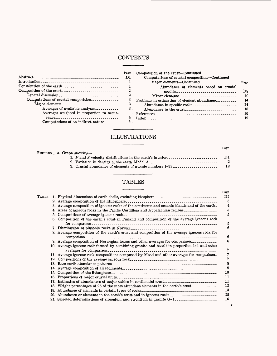# **CONTENTS**

 $\overline{\phantom{a}}$ 

\_\_\_\_\_\_

|                                                         | Page        | Comt  |
|---------------------------------------------------------|-------------|-------|
|                                                         | D1          |       |
|                                                         |             |       |
| Constitution of the earth $\frac{1}{2}$                 |             |       |
| Composition of the crust------------------------------- | 2           |       |
|                                                         | $\mathbf 2$ |       |
| Computations of crustal composition                     | 3           | Probl |
| Major elements                                          | 3           |       |
| Averages of available analyses                          | 3           | 4     |
| Averages weighted in proportion to occur-               |             | Refer |
|                                                         | 4           | Index |
| Computations of an indirect nature                      | 6           |       |
|                                                         |             |       |

 $\Delta_{\rm c}$ 

| 'age           | Composition of the crust-Continued                                                  |      |
|----------------|-------------------------------------------------------------------------------------|------|
| D1             | Computations of crustal composition—Continued                                       |      |
|                | Major elements—Continued                                                            | Page |
| 1              | Abundance of elements based on crustal                                              |      |
| $\overline{2}$ | $models_{\texttt{max}} \dots \dots \dots \dots \dots \dots \dots \dots \dots \dots$ | D8.  |
| $\overline{2}$ | Minor elements                                                                      | 10   |
| 3              | Problems in estimation of element abundance                                         | 14   |
| 3              | Abundance in specific rocks                                                         | 14   |
| 3              |                                                                                     | 16   |
|                |                                                                                     | 16   |
| 4              |                                                                                     | 19   |
| R              |                                                                                     |      |

# ILLUSTRATIONS

L

| FIGURES 1-3. Graph showing-                               |     |
|-----------------------------------------------------------|-----|
| 1. P and S velocity distributions in the earth's interior | D1. |
| 2. Variation in density of the earth Model A.             | 2   |
| 3. Crustal abundance of elements of atomic numbers 1-93   | 12  |
|                                                           |     |
|                                                           |     |

# TABLES

| Тавье |                                                                                                               |
|-------|---------------------------------------------------------------------------------------------------------------|
|       |                                                                                                               |
|       | 3. Average composition of igneous rocks of the continents and oceanic islands and of the earth.               |
|       | 4. Areas of igneous rocks in the Pacific Cordillera and Appalachian regions                                   |
|       | 5. Compositions of average igneous rock.                                                                      |
|       | 6. Composition of the earth's crust in Finland and composition of the average igneous rock<br>for comparison. |
|       |                                                                                                               |
|       | 8. Average composition of the earth's crust and composition of the average igneous rock for<br>comparison_    |
|       | 9. Average composition of Norwegian loams and other averages for comparison                                   |
|       | 10. Average igneous rock formed by combining granite and basalt in proportion 1:1 and other                   |
|       | 11. Average igneous rock compositions computed by Mead and other averages for comparison.                     |
|       |                                                                                                               |
|       |                                                                                                               |
|       |                                                                                                               |
|       |                                                                                                               |
|       |                                                                                                               |
|       | 17. Estimates of abundances of major oxides in continental crust                                              |
|       | 18. Weight percentages of 25 of the most abundant elements in the earth's crust                               |
|       |                                                                                                               |
|       | 20. Abundance or elements in the earth's crust and in igneous rocks                                           |
|       | 21. Selected determinations of zirconium and strontium in granite G-1.                                        |

## $_{\bf Page}$

# Page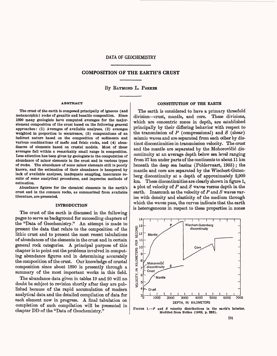## DATA OF GEOCHEMISTRY

## **COMPOSITION OF THE EARTH'S CRUST**

## By RAYMOND L. PARKER

#### **ABSTRACT**

The crust of the earth is composed principally of igneous (and metamorphic) rocks of granitic and basaltic composition. Since 1890 many geologists have computed averages for the majorelement composition of the crust based on the following general approaches: (1) Averages of available analyses, (2) averages weighted in proportion to occurrence, (3) computations of an indirect nature based on the composition of sediments and various combinations of mafic and felsic rocks, and (4) abundances of elements based on crustal models. Most of these averages fall within a remarkably small range in composition. Less attention has been given by geologists to the computation of abundance of minor elements in the crust and in various types of rocks. The abundance of some minor elements still is poorly known, and the estimation of their abundance is hampered by lack of available analyses, inadequate sampling, inaccurate results of some analytical procedures, and imprecise methods of estimation.

Abundance figures for the chemical elements in the earth's crust and in the common rocks, as summarized from available literature, are presented.

#### **INTRODUCTION**

The crust of the earth is discussed in the following pages to serve as background for succeeding chapters of the "Data of Geochemistry." An attempt is made to present the data that relate to the composition of the lithic crust and to present the most recent tabulations of abundances of the elements in the crust and in certain general rock categories. A principal purpose of this chapter is to point out the problems involved in computing abundance figures and in determining accurately the composition of the crust. Our knowledge of crustal composition since about 1890 is presently through a summary of the most important works in this field.

The abundance data given in tables 19 and 20 will no doubt be subject to revision shortly after they are published because of the rapid accumulation of modern analytical data and the detailed compilation of data for each element now in progress. A final tabulation on completion of such compilation will be presented in chapter DD of the "Data of Geochemistry."

## **CONSTITUTION OF THE EARTH**

The earth is considered to have a primary threefold division-crust, mantle, and core. These divisions, which are concentric zones in depth, are established principally by their differing behavior with respect to the transmission of *P* (compressional) and *8* (shear) seismic waves and are separated from each other by distinct discontinuities in transmission velocity. The crust and the mantle are separated by the Mohorovičić discontinuity at an average depth below sea level ranging from 37 km under parts of the continents to about 11 km beneath the deep sea basins (Poldervaart, 1955); the mantle and core are separated by the Wiechert-Gutenberg discontinuity at a depth of approximately 2,900 km. These discontinuities are clearly shown in figure 1, a plot of velocity of *P* and *8* waves versus depth in the earth. Inasmuch as the velocity of *P* and *8* waves varies with density and elasticity of the medium through which the waves pass, the curves indicate that the earth is heterogeneous in respect to these properties in zones



FIGURE 1.-P and *S* velocity distributions in the earth's interior. Modified from Bullen (1963, p. **223).**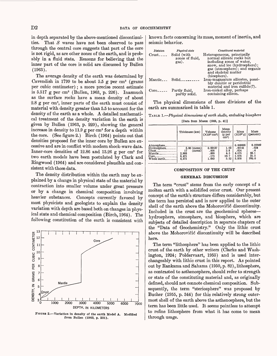in depth separated by the above-mentioned discontinuities. That *S* waves have not been observed to pass through the central core suggests that part of the core is not rigid, as are other zones of the earth, and is probably in a fluid state. Keasons for believing that the inner part of the core is solid are discussed by Bullen (1963).

The average density of the earth was determined by Cavendish in 1799 to be about 5.5 g per  $cm<sup>3</sup>$  (grams per cubic centimeter) ; a more precise recent estimate is 5.51T g per cm3 (Bullen, 1963, p. 226). Inasmuch as the surface rocks have a mean density of about 2.8 g per cm3 , inner parts of the earth must consist of material with density greater than 5.5 to account for the density of the earth as a whole. A detailed mathematical treatment of the density variation in the earth is given by Bullen (1963, p. 229), showing the general increase in density to  $11.9$  g per cm<sup>3</sup> for a depth within the core. (See figure 2.) Birch (1964) points out that densities proposed for the inner core by Bullen are excessive and are in conflict with modern shock-wave data. Inner-core densities of 12.86 and 13.26 g per cm3 for two earth models have been postulated by Clark and Eingwood (1964) and are considered plausible and consistent with those data.

The density distribution within the earth may be explained by a change in physical state of the material by contraction into smaller volume under great pressure or by a change in chemical composition involving heavier substances. Concepts currently favored by most physicists and geologists to explain the density variation with depth are based both on changes in physical state and chemical composition (Birch, 1964). The following constitution of the earth is consistent with



FIGURE 2.-Variation in density of the earth Model A. Modified from Bullen (1963, p. 231).

known facts concerning its mass, moment of inertia, and seismic behavior.

| Division<br>$Crust$ <sub>----</sub> | Physical state<br>Solid (with<br>zones of fluid,<br>gas). | Constituent material<br>Heterogeneous, principally<br>normal silicate rocks but<br>including zones of water,<br>snow, and ice (hydrosphere);<br>gas (atmosphere); and organic<br>and skeletal matter<br>(biosphere). |
|-------------------------------------|-----------------------------------------------------------|----------------------------------------------------------------------------------------------------------------------------------------------------------------------------------------------------------------------|
|                                     | $\text{Mantle}\_\text{--}$ Solid $\_\text{--}$            | Iron-magnesium silicates, possi-<br>bly dunitic or peridotitic<br>material and iron sulfide(?).                                                                                                                      |
| $Core_{\texttt{---}}$               | Partly fluid,<br>partly solid.                            | Iron-nickel alloy, perhaps<br>containing silicon.                                                                                                                                                                    |

The physical dimensions of these divisions of the earth are summarized in table 1.

TABLE 1. *Physical dimensions of earth shells, excluding biosphere*  [Data from Mason (1958, p. 41)]

|                                                                                                                       | Thickness (km)                                   | Volume<br>$(X10^{27}$ cm <sup>3</sup> )   | Mean<br>density<br>(g per<br>$cm3$ ) | Mass<br>$(X10^{27} g)$                                | Mass<br>(percent)                        |
|-----------------------------------------------------------------------------------------------------------------------|--------------------------------------------------|-------------------------------------------|--------------------------------------|-------------------------------------------------------|------------------------------------------|
| Atmosphere.<br>Hydrosphere.<br>Crust <sub>--</sub><br>$\mathbf{Mantle}\dots$<br>$Core$ --------------<br>Whole earth. | 3.80 (mean)<br>(mean)<br>2.883<br>3.471<br>6.371 | 0.00137<br>.008<br>.899<br>. 175<br>1.083 | 1.03<br>2.8<br>4.5<br>10.7<br>5.52   | 0.000005<br>.00141<br>.024<br>4.075<br>1.876<br>5.976 | 0.00009<br>.024<br>68.1<br>31.5<br>100.0 |

#### **COMPOSITION OF THE CRUST**

#### **GENERAL DISCUSSION**

The term "crust" stems from the early concept of a molten earth with a solidified outer crust. Our present concept of the earth's structure differs considerably, but the term has persisted and is now applied to the outer shell of the earth above the Mohorovičić discontinuity. Included in the crust are the geochemical spheres hydrosphere, atmosphere, and biosphere, which are subjects of detailed description in separate chapters of the "Data of Geochemistry." Only the lithic crust above the Mohorovičić discontinuity will be described here.

The term "lithosphere" has been applied to the lithic crust of the earth by other writers (Clarke and Washington, 1924; Poldervaart, 1955) and is used interchangeably with lithic crust in this report. As pointed out by Eankama and Sahama (1950, p. 82), lithosphere, as contrasted to asthenosphere, should refer to strength or state of the constituting material and, as originally defined, should not connote chemical composition. Subsequently, the term "steriosphere" was proposed by Bucher (1955, p. 344) for this relatively strong outermost shell of the earth above the asthenosphere, but the term has been little used. It seems pointless to attempt to refine lithosphere from what it has come to mean through usage.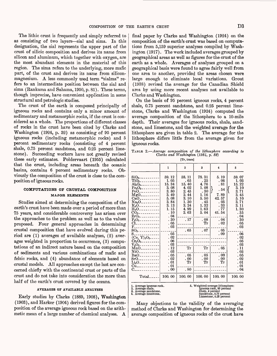The lithic crust is frequently and simply referred to as consisting of two layers-sial and sima. In this designation, the sial represents the upper part of the crust of silicic composition and derives its name from silicon and aluminum, which together with oxygen, are the most abundant elements in the material of this region. The sima refers to the underlying, more mafic part, of the crust and derives its name from siliconmagnesium. A less commonly used term "sialma" refers to an intermediate position between the sial and sima (Rankama and Sahama, 1950, p. 81). These terms, though imprecise, have convenient application in some structural and petrologic studies.

The crust of the earth is composed principally of igneous rocks and contains only a minor amount of sedimentary and metamorphic rocks, if the crust is considered as a whole. The proportions of different classes of rocks in the crust have been cited by Clarke and Washington (1924, p. 32) as consisting of 95 percent igneous rocks (including metamorphic rocks) and 5 percent sedimentary rocks (consisting of 4 percent shale, 0.75 percent sandstone, and 0.25 percent limestone). Succeeding workers have not greatly revised these early estimates. Poldervaart (1955) calculated that the crust, including areas beneath the oceanic basins, contains 6 percent sedimentary rocks. Obviously the composition of the crust is close to the composition of igneous rocks.

# **COMPUTATIONS OF CRUSTAL COMPOSITION MAJOR EI^EMENTS**

Studies aimed at determining the composition of the earth's crust have been made over a period of more than 75 years, and considerable controversy has arisen over the approaches to the problem as well as to the values proposed. Four general approaches in determining crustal composition that have evolved during this period are (1) averages of available analyses, (2) averages weighted in proportion to occurrence, (3) computations of an indirect nature based on the composition of sediments and various combinations of mafic and felsic rocks, and (4) abundance of elements based on crustal models. All approaches except the last are concerned chiefly with the continental crust or parts of the crust and do not take into consideration the more than half of the earth's crust covered by the oceans.

## AVEKAGES OF AVAILABLE ANALYSES

Early studies by Clarke (1889, 1908), Washington (1903), and Harker (1904) derived figures for the composition of the average igneous rock based on the arithmetic mean of a large number of chemical analyses. A final paper by Clarke and Washington (1924) on the composition of the earth's crust was based on computations from 5,159 superior analyses compiled by Washington (1917). The work included averages grouped by geographical areas as well as figures for the crust of the earth as a whole. Averages of analyses grouped on a geographical basis were found to agree fairly well from one area to another, provided the areas chosen were large enough to eliminate local variations. Grout (1938) revised the average for the Canadian Shield area by using more recent analyses not available to Clarke and Washington.

On the basis of 95 percent igneous rocks, 4 percent shale, 0.75 percent sandstone, and 0.25 percent limestone, Clarke and Washington (1924) computed the average composition of the lithosphere to a 10-mile depth. Their averages for igneous rocks, shale, sandstone, and limestone, and the weighted average for the lithosphere are given in table 2. The average for the lithosphere differs little from the average given for igneous rocks.

TABLE 2. *Average composition of the lithosphere according to Clarke and Washington (1924, p. 82}* [Tr, trace]

|                                                                   | 1      | 2      | 3                                | 4                                                  | 5       |
|-------------------------------------------------------------------|--------|--------|----------------------------------|----------------------------------------------------|---------|
| $\rm SiO_{2-2-2-2-2-2}$                                           | 59.12  | 58. 11 | 78.31                            | 5.19                                               | 59.07   |
| $TiO2$ _________                                                  | 1.05   | . 65   | . 25                             | . 06                                               | 1.03    |
|                                                                   | 15.34  | 15.40  | 4.76                             | . 81                                               | 15.22   |
| $Fe2O3$                                                           | 3.08   | 4.02   | 1.08                             |                                                    | 3.10    |
| $FeO$ ----------                                                  | 3.80   | 2.45   | .30                              | . 54                                               | 3.71    |
| $MgO$ <sub>----------</sub>                                       | 3.49   | 2.44   | 1. 16                            | 7.89                                               | 3.45    |
| $CaO$ ----------                                                  | 5.08   | 3.10   | 5.50                             | 42 57                                              | 5.10    |
| $Na2O-$ -------                                                   | 3.84   | 1.30   | . 45                             | 05                                                 | 3, 71   |
| $K_2O_{-}$ - - - - - - - - -                                      | 3.13   | 3.24   | $1.\,32$                         | . 33                                               | 3.11    |
| $\rm H_2O_{\tt -----------}$                                      | 1.15   | 4.99   | 1.63                             | . 77                                               | 1.30    |
| $\rm{CO_{2-}}$ ----------                                         | 10     | 2.63   | 5.04                             | 41.54                                              | . 35    |
| $ZrO_{2-1}$                                                       | . 04   |        |                                  |                                                    | . 04    |
| $\rm P_2O_5$ ---------                                            | .30    | . 17   | .08                              | . 04                                               | . 30    |
| Cl____________                                                    | 05     |        | Тr                               | . 02                                               | 05      |
| F_____________                                                    | .03    |        |                                  |                                                    | . 03    |
| $SO_3$ -----------                                                |        | .65    | .07                              | . 05                                               |         |
| S.                                                                | . 05   |        |                                  | . 09                                               | . 06    |
| (Ce, $Y$ ) <sub>2</sub> O <sub>3-----</sub>                       | .02    |        |                                  |                                                    | . 02    |
| $Cr_2O_3$ ---------                                               | . 06   |        |                                  |                                                    | . 05    |
| $\rm V_2O_{3-}\, -\, -\, -\, -\, -\, -$                           | . 03   |        |                                  |                                                    | . 03    |
| $MnO$ ----------                                                  | .12    | Tr     | Тr                               | . 05                                               | . 11    |
| $NiO_{-}$ $_{-}$ $_{-}$ $_{-}$ $_{-}$ $_{-}$ $_{-}$ $_{-}$ $_{-}$ | .03    |        |                                  |                                                    | . 03    |
| $BaO_{\texttt{---}}$                                              | . 05   | . 05   | . 05                             | .00                                                | 05      |
| 8r0 <sub>----------</sub>                                         | . 02   | .00    | . 00                             | .00                                                | 02      |
| ${\rm Li}_2{\rm O}$ - - - - - - - - - -                           | .01    | Tr     | Тr                               | Тr                                                 | 01      |
| Cu <sub>------------</sub>                                        | . 01   |        |                                  |                                                    | $_{01}$ |
| <u> 2223 - 233 - 233 - 23</u>                                     | .00    | . 80   |                                  |                                                    | . 04    |
|                                                                   |        |        |                                  |                                                    |         |
| Total_                                                            | 100.00 | 100.00 | 100.00                           | 100.00                                             | 100.00  |
| 1. Average igneous rock.                                          |        |        | 5. Weighted average lithosphere: |                                                    |         |
| 2. Average shale.                                                 |        |        |                                  | Igneous rock, 95 percent                           |         |
| 3. Average sandstone.                                             |        |        | Shale, 4 percent                 |                                                    |         |
| 4. Average limestone.                                             |        |        |                                  | Sandstone, 0.75 percent<br>Limestone, 0.25 percent |         |
|                                                                   |        |        |                                  |                                                    |         |

Many objections to the validity of the averaging method of Clarke and Washington for determining the average composition of igneous rocks of the crust have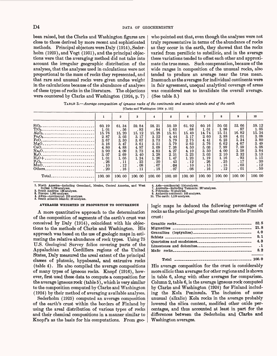been raised, but the Clarke and Washington figures are close to those derived by more recent and sophisticated methods. Principal objectors were Daly (1914), Sederholm (1925), and Vogt (1931), and the principal objections were that the averaging method did not take into account the irregular geographic distribution of the analyses, that the analyses used in calculations were not proportional to the mass of rocks they represented, and that rare and unusual rocks were given undue weight in the calculations because of the abundance of analyses of these types of rocks in the literature. The objections were countered by Clarke and Washington (1924, p. 7)

who pointed out that, even though the analyses were not truly representative in terms of the abundance of rocks as they occur in the earth, they showed that the rocks varied from persilicic to subsilicic, and in the average these variations tended to offset each other and approximate the true mean. Such compensation, because of the wide ranges in composition of the unusual rocks, also tended to produce an average near the true mean. Inasmuch as the averages for individual continents were in fair agreement, unequal analytical coverage of areas was considered not to invalidate the overall average. (See table 3.)

TABLE 3. *Average composition of igneous rocks of the continents and oceanic islands and of the earth* [Clarke and Washington (1924 p. 15)]

|                                                                                                                     |                                | $\overline{2}$                | 3                            | 4                                               | 5                            | 6                            | 7                            | 8                            | 9                            | 10                             |
|---------------------------------------------------------------------------------------------------------------------|--------------------------------|-------------------------------|------------------------------|-------------------------------------------------|------------------------------|------------------------------|------------------------------|------------------------------|------------------------------|--------------------------------|
| SiO <sub>2</sub><br>$TiO2-$<br>-------------------------<br>$\text{Al}_2\text{O}_3$ .<br>------------------------   | 60.19<br>1.01<br>15.76         | 61.34<br>.56<br>15.20         | 59.84<br>.83<br>15.12        | 58.21<br>.84<br>15.28                           | 50.59<br>1.63<br>15.81       | 61.92<br>.68<br>15.49        | 60.16<br>1.01<br>14.74       | 50.03<br>1.96<br>15.51       | 53, 66<br>.87<br>16.82       | 59.12<br>1.05<br>15.34<br>3.08 |
| $Fe2O3-$<br><br>FeO <sub>z</sub><br>-------------------------<br>MgO <sub>-----</sub> ---------------------<br>CaO. | 2.87<br>3.67<br>3.16<br>4.80   | 3, 03<br>3.30<br>3.47<br>4.88 | 3.17<br>3.67<br>3.61<br>4.97 | 3.52<br>3.73<br>3.51<br>5.09                    | 4.44<br>5.79<br>5,79<br>7.36 | 3.17<br>2.75<br>2.63<br>4.50 | 2.60<br>4.41<br>3.76<br>5.03 | 3.88<br>6.23<br>6.62<br>7.99 | 4.01<br>5.34<br>4.67<br>7.59 | 3.80<br>3.49<br>5.08           |
|                                                                                                                     | 3.90<br>3.07<br>1.01           | 4.09<br>2.69<br>1.05          | 3.73<br>3.40<br>1.24         | 4.83<br>3.28<br>1.26                            | 4.27<br>2, 31<br>1.47        | 4.10<br>3.23<br>1.23         | 3.50<br>3.03<br>1, 19        | 4,00<br>2.10<br>1.16         | 3.58<br>2.32<br>.93          | 3.84<br>3.13<br>1.15           |
| $P_2O_5$ -----------------------------<br>$\rm Mn \ddot O$ .<br>------------------------<br>Others.                 | .26<br>.10 <sup>7</sup><br>.20 | . 11<br>.12<br>.16            | .23<br>.08<br>. 11           | $\begin{array}{c} 20 \\ 07 \end{array}$<br>. 18 | .43<br>.04<br>.07            | .12<br>.10<br>.08            | .26<br>. 15<br>.16           | . 25<br>. 15<br>.12          | .17<br>.03<br>.01            | .30<br>.12<br>.50              |
| Total.                                                                                                              | 100.00                         | 100.00                        | 100.00                       | 100.00                                          | 100.00                       | 100.00                       | 100.00                       | 100.00                       | 100.00                       | 100.00                         |

1. North America—including Greenland, Mexico, Central America, and West<br>Indies: 1,709 analyses.<br>2. South America: 138 analyses.<br>3. Europe: 1,985 analyses.<br>4. Africa—continental: 223 analyses.<br>5. South Atlantic Islands: 56

**AVERAGES WEIGHTED IN PROPORTION TO OCCURRENCE**

A more quantitative approach to the determination of the composition of segments of the earth's crust was conceived by Daly (1914), coincident with his objections to the methods of Clarke and Washington. His approach was based on the use of geologic maps in estimating the relative abundance of rock types. Using 75 U.S. Geological Survey folios covering parts of the Appalachian and Cordillera regions of the United States, Daly measured the areal extent of the principal classes of plutonic, hypabassal, and extrusive rocks (table 4). He also compiled the average compositions of many types of igneous rocks. Knopf (1916), however, first used these data to compute a composition for the average igneous rock (table 5), which is very similar to the composition computed by Clarke and Washington (1924) by their method of averaging available analyses.

Sederholm (1925) computed an average composition of the earth's crust within the borders of Finland by using the areal distribution of various types of rocks and their chemical compositions in a manner similar to Knopf's as the basis for his computations. From geo6. Asia—continental: 114 analyses.<br>7. Australia—including Tasmania: 287 analyses.<br>8. Polynesia: 72 analyses.<br>9. Antarctic continent: 103 analyses.<br>10. The earth: 5,159 analyses.

logic maps he deduced the following percentages of rocks as the principal groups that constitute the Finnish crust:

| <u>ul 1100 -</u> |     |
|------------------|-----|
|                  |     |
|                  |     |
|                  |     |
|                  |     |
|                  |     |
|                  |     |
|                  | 8.2 |
|                  |     |
|                  |     |

Total \_\_\_\_\_\_\_ 100.0

His average composition for the crust is considerably more silicic than averages for other regions and is shown in table 6, along with other averages for comparison. Column 2, table 6, is the average igneous rock computed by Clarke and Washington (1924) for Finland including the Kola Peninsula. The inclusion of some unusual (alkalic) Kola rocks in the average probably lowered the silica content, modified other oxide percentages, and thus accounted at least in part for the differences between the Sederholm and Clarke and Washington averages.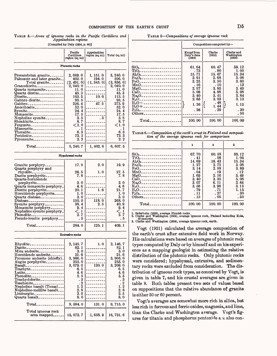TABLE 4. *Areas of igneous rocks in the Pacific Cordillera and Appalachian regions*  $\overline{a}$   $\overline{b}$   $\overline{c}$   $\overline{c}$   $\overline{d}$   $\overline{d}$   $\overline{d}$   $\overline{d}$   $\overline{d}$   $\overline{d}$   $\overline{d}$   $\overline{d}$   $\overline{d}$   $\overline{d}$   $\overline{d}$   $\overline{d}$   $\overline{d}$   $\overline{d}$   $\overline{d}$   $\overline{d}$   $\overline{d}$   $\overline{d}$   $\overline{d}$   $\overline{d}$   $\overline{$ 

| <b>TABLE 5—Compositions of average igneous rock</b> |  |  |
|-----------------------------------------------------|--|--|
| H'S CRUST                                           |  |  |

|                                                                                                                                                                                                                                                                                                                                                                                                                                                                                                                                                                                                                                                                                               | [Compiled by Daly (1914, p. 44)]                                                                                                                                                        |                                                                                |                                                                                                                                                                                         |
|-----------------------------------------------------------------------------------------------------------------------------------------------------------------------------------------------------------------------------------------------------------------------------------------------------------------------------------------------------------------------------------------------------------------------------------------------------------------------------------------------------------------------------------------------------------------------------------------------------------------------------------------------------------------------------------------------|-----------------------------------------------------------------------------------------------------------------------------------------------------------------------------------------|--------------------------------------------------------------------------------|-----------------------------------------------------------------------------------------------------------------------------------------------------------------------------------------|
|                                                                                                                                                                                                                                                                                                                                                                                                                                                                                                                                                                                                                                                                                               | Pacific<br>Cordillera<br>region (sq mi)                                                                                                                                                 | Appalachian<br>region (sq mi)                                                  | Total (sq mi)                                                                                                                                                                           |
|                                                                                                                                                                                                                                                                                                                                                                                                                                                                                                                                                                                                                                                                                               | <b>Plutonic rocks</b>                                                                                                                                                                   |                                                                                |                                                                                                                                                                                         |
| Precambrian granite_______<br>Paleozoic and later granite<br>Total granite_______<br>Granodiorite <sub>--------------</sub><br>Quartz monzonite________<br>Quartz diorite<br>Diorite____________________<br>Gabbro diorite <sub>-------------</sub><br>Gabbro - - - - - - - - - - - - - - - - -<br>Anorthosite________________<br>Syenite____________________<br>Monzonite <sub>----------------</sub><br>Nepheline syenite_________<br>Shonkinite_________________<br>$Fergusite$ ----------------<br>$M$ issourite<br>$\rm{The \textbf{r}alite}\textcolor{red}{\textbf{}}\textcolor{red}{\textbf{}}\textcolor{red}{\textbf{}}$<br>Peridotite_________________<br>Pyroxenite________________ | 2, 089. 0<br>402.0<br>(2, 491. 0)<br>2, 040. 0<br>11.0<br>45.3<br>103.5<br>98. 5<br>226.4<br>52.0<br>24.4<br>17.5<br>3.5<br>8.7<br>$\mathbf{<} 1.0$<br>$\cdot$ 1<br>6. 3<br>73.3<br>2.2 | 1, 151. 0<br>194.0<br>(1, 345, 0)<br>10. 0<br>47.5<br>----------<br>---------- | 3, 240. 0<br>596.0<br>(3, 836, 0)<br>2, 040. 0<br>11. 0<br>45.3<br>113.5<br>98. 5<br>273.9<br>52. 0<br>24.4<br>17.5<br>3. 8<br>8. 7<br>$\mathbf{<}$ 1. 0<br>. 1<br>6.3<br>73. 3<br>2. 2 |
| $Total$ -------------                                                                                                                                                                                                                                                                                                                                                                                                                                                                                                                                                                                                                                                                         | 5, 240. 7                                                                                                                                                                               | 1, 402. 8                                                                      | 6, 607. 5                                                                                                                                                                               |
|                                                                                                                                                                                                                                                                                                                                                                                                                                                                                                                                                                                                                                                                                               | Hypabyssal rocks                                                                                                                                                                        |                                                                                |                                                                                                                                                                                         |
| Granite porphyry<br>Quartz porphyry and<br>rhyolite________________<br>Dacite porphyrite__________                                                                                                                                                                                                                                                                                                                                                                                                                                                                                                                                                                                            | 17.9<br>26. 5                                                                                                                                                                           | 2. 0<br>1. 0                                                                   | 19.9<br>27. 5                                                                                                                                                                           |
| $\operatorname{Quartz-hornblende}$<br>porphyrite_______________<br>Quartz monzonite porphyry_<br>Diorite porphyrite<br>Hornblende porphyrite<br>Quartz diabase<br>Diabase <sub>-------------------</sub><br>Syenite porphyry<br>Monzonite porphyry_______<br>Nepheline syenite porphyry_<br>Phonolite_____________________<br>Pseudo-leucite porphyry___                                                                                                                                                                                                                                                                                                                                      | 7. 8<br>2.0<br>4.6<br>20.1<br>1. 0<br>3. 0<br>150.0<br>38.4<br>9.4<br>$<$ . 1<br>2.7<br>. 5                                                                                             | 1.6<br>118.0<br>2. 5                                                           | 7. 8<br>2. 0<br>4.6<br>21. 7<br>1. 0<br>3. 0<br>268.0<br>40.9<br>9.4<br>< 1<br>2. 7<br>. 5                                                                                              |
| Total____________                                                                                                                                                                                                                                                                                                                                                                                                                                                                                                                                                                                                                                                                             | 284.0                                                                                                                                                                                   | 125. 1                                                                         | 409.1                                                                                                                                                                                   |
|                                                                                                                                                                                                                                                                                                                                                                                                                                                                                                                                                                                                                                                                                               | <b>Extrusive rocks</b>                                                                                                                                                                  |                                                                                |                                                                                                                                                                                         |
| Rhyolite______<br>Dacite <sub>-------------------</sub><br>Mica andesite <sub>-------------</sub><br>Hornblende andesite<br>Pyroxene andesite (chiefly).<br>Augite porphyrite<br>Basalt____________________<br>Trachyte <sub>-----------------</sub><br>Latite_____________________<br>$\rm Phonolite$ -----------------<br>${\rm Trace by dolarite}\texttt{---}\texttt{---}\texttt{---}$<br>$T$ eschenite <sub>----------------</sub><br>Nepheline basalt (Texas)<br>Nepheline-melilite basalt<br>Limburgite________________<br>Quartz basalt_______________                                                                                                                                 | 2, 145. 7<br>82. 1<br>3. 0<br>21. 6<br>3, 966. 0<br>255. 0<br>3, 079. 0<br>6. 5<br>4. 6<br>5.5<br>3<br>$\boldsymbol{2}$<br>$1.\overline{2}$<br>2. 8<br>2. 5<br>8. 0                     | 1. 0<br>$- - - -$<br>130. 0<br>-------                                         | 2, 146.7<br>82. 1<br>3. 0<br>21. 6<br>3, 966. 0<br>255. 0<br>3, 209. 0<br>6.5<br>4.6<br>5.5<br>3<br>2<br>1, 2<br>2. 8<br>2. 5<br>8. 0                                                   |
| $\mathrm{Total}$ ----------                                                                                                                                                                                                                                                                                                                                                                                                                                                                                                                                                                                                                                                                   | 9,584.0                                                                                                                                                                                 | 131.0                                                                          | 9,715.0                                                                                                                                                                                 |

15, 072. 7

1, 658. 9

16, 731. 6

Total igneous rock area mapped ....

|                                                                                                                                                                                                                                                                                                                                                                                                                                                                                                                                                                                                                                                                                                                                                                                                                                                                                                                                | Compositions computed by-                                                                     |                                                                                                        |                                                                                                        |  |  |
|--------------------------------------------------------------------------------------------------------------------------------------------------------------------------------------------------------------------------------------------------------------------------------------------------------------------------------------------------------------------------------------------------------------------------------------------------------------------------------------------------------------------------------------------------------------------------------------------------------------------------------------------------------------------------------------------------------------------------------------------------------------------------------------------------------------------------------------------------------------------------------------------------------------------------------|-----------------------------------------------------------------------------------------------|--------------------------------------------------------------------------------------------------------|--------------------------------------------------------------------------------------------------------|--|--|
|                                                                                                                                                                                                                                                                                                                                                                                                                                                                                                                                                                                                                                                                                                                                                                                                                                                                                                                                | Knopf from<br>Daly's data<br>(1916)                                                           | Clarke<br>(1915)                                                                                       | Clarke and<br>Washington<br>(1924)                                                                     |  |  |
| $\rm SiO_{2-}$ ----------------------<br>$\text{TiO}_2$ ----------------------<br>$Al_2O_3$ -------------------- <br>FeO----------------------<br>MnO <sub>--------------------</sub><br>MgO <sub>---------------------</sub><br>CaO <sub>----------------------</sub><br>$\rm Na_{2}O_{\hbox{\small -}\hbox{\small -}\hbox{\small -}\hbox{\small -}\hbox{\small -}\hbox{\small -}\hbox{\small -}\hbox{\small -}\hbox{\small -}\hbox{\small -}\hbox{\small -}\hbox{\small -}\hbox{\small -}\hbox{\small -}\hbox{\small -}\hbox{\small -}\hbox{\small -}\hbox{\small -}\hbox{\small -}\hbox{\small -}\hbox{\small -}\hbox{\small -}\hbox{\small -}\hbox{\small -}\hbox{\small -}\hbox{\small -}\hbox{\small -}\hbox{\small -}\hbox{\small -}\hbox{\small -}\hbox{\small -}\hbox{\small -}\hbox{\small -}\hbox{\small -}\hbox{\small -}\h$<br>$\rm H_2O$ — ________________________<br>$P_2O_{5-2}$<br>Others___________________ | 61.64<br>. 73<br>15.71<br>2.91<br>3.25<br>.16<br>2.97<br>5.06<br>3.40<br>2.65<br>1.26<br>. 26 | 60.47<br>. 80<br>15.07<br>2.68<br>3.50<br>. 10<br>3.85<br>4.88<br>3.41<br>3.03<br>. 48<br>1.44<br>. 29 | 59.12<br>1.05<br>15.34<br>3.08<br>3.80<br>. 12<br>3.49<br>5.08<br>3.84<br>3.13<br>1.15<br>. 30<br>. 50 |  |  |
|                                                                                                                                                                                                                                                                                                                                                                                                                                                                                                                                                                                                                                                                                                                                                                                                                                                                                                                                | 100.00                                                                                        | 100.00                                                                                                 | 100.00                                                                                                 |  |  |

*tion of the average i ffneous rock for comparison* TABLE 6.-Composition of the earth's crust in Finland and composi-

|                                                                                             | 1                    | $\mathbf{z}$          | 3                     |
|---------------------------------------------------------------------------------------------|----------------------|-----------------------|-----------------------|
| $\rm SiO_{2-2-2-2-2-2-2-2-2-2-2-2}$                                                         | 67.70                | 60.58                 | 59.12                 |
| $Al_2O_3$ ---------------------                                                             | .41<br>14.69<br>1.27 | . 56<br>16.43<br>2.75 | 1.05<br>15.34<br>3.08 |
| $Fe2O3$ ---------------------<br>FeO_______________________<br>$MnO$ ---------------------- | 3.14<br>.04          | 2.88<br>. 19          | 3.80<br>.12           |
| MgO----------------------<br>CaO <sub>----------------------</sub>                          | 1.69<br>3.40         | 2.16<br>3.35          | 3.49<br>5.08          |
|                                                                                             | 3.07<br>3.56         | 6.11<br>3.96          | 3.84<br>3.13          |
| $\rm H_2O$ ----------------------<br>$P_2O_5$ ----------------------                        | . 79<br>. 11         | . 71<br>.27           | 1.15<br>.30           |
| Others____________________                                                                  | . 13                 | . 05                  | .50                   |
| Total <sub>------------</sub>                                                               | 100.00               | 100.00                | 100.00                |

1. Sederholm (1925), average Finnish rocks. 2. Clarke and Washington (1924), average igneous rock, Finland including Kola, 59 analyses. 3. Clarke and Washington (1924), average igneous rock, earth.

Vogt (1931) calculated the average composition of the earth's crust after extensive field work in Norway. His calculations were based on averages of plutonic rock types computed by Daly or by himself and on his experience as a mapping geologist in estimating the relative distribution of the plutonic rocks. Only plutonic rocks were considered; hypabyssal, extrusive, and sedimentary rocks were excluded from consideration. The distribution of igneous rock types, as conceived by Vogt, is given in table 7, and his crustal averages are given in table 8. Both tables present two sets of values based on suppositions that the relative abundance of granite is either 50 or 60 percent.

Vogt's averages are somewhat more rich in silica, but less rich in ferrous and ferric oxides, magnesia, and lime, than the Clarke and Washington average. Vogt's figures for titania and phosphorus pentoxide a. & also con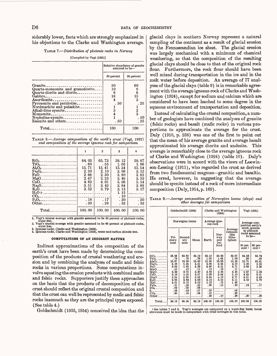siderably lower, facts which are strongly emphasized in his objections to the Clarke and Washington average.

#### TABLE 7. *Distribution of plvtonic rocks in Norway*

#### [Compiled by Vogt (1931)]

|                                                                                                                                                                                                                                                                                | assumed to be-                                   | Relative abundance of granite                            |
|--------------------------------------------------------------------------------------------------------------------------------------------------------------------------------------------------------------------------------------------------------------------------------|--------------------------------------------------|----------------------------------------------------------|
|                                                                                                                                                                                                                                                                                | 50 percent                                       | 60 percent                                               |
| Granite_<br>Quartz-monzonite and granodiorite<br>Quartz-diorite and diorite<br>${\rm Gabbro_{\texttt{}}_{\texttt{}}_{\texttt{}}_{\texttt{}}_{\texttt{}}_{\texttt{}}_{\texttt{}}_{\texttt{}}$<br>$\Lambda$ northosite<br>Pyroxenite and peridotite<br>Nordmarkite and pulaskite | 50<br>10<br>-8<br>18<br>4<br>. 50<br>1<br>3<br>4 | 60<br>9<br>6<br>15<br>3<br>. 25<br>$\frac{2}{3}$<br>. 50 |
|                                                                                                                                                                                                                                                                                | . 50<br>100                                      | . 25<br>100                                              |
|                                                                                                                                                                                                                                                                                |                                                  |                                                          |

| <b>TABLE 8.</b> —Average composition of the earth's crust (Vogt, 1931) |  |  |
|------------------------------------------------------------------------|--|--|
|                                                                        |  |  |
| and composition of the average igneous rock for comparison             |  |  |

|                                                                                              | 1                       | $\mathbf{2}$  | 3                  | 4              |
|----------------------------------------------------------------------------------------------|-------------------------|---------------|--------------------|----------------|
| $\rm SiO_{2-2-2-2-2-2-2-2-2-2-2}$                                                            | 64.03<br>.60            | 65.73<br>. 55 | 59.12<br>1.05      | 59.87<br>1.06  |
| $TiO2$ -------------------<br>$Al_2O_3$ ------------------<br>Fe <sub>2</sub> O <sub>3</sub> | 15.71<br>2.20           | 15.41<br>2.10 | 15.34<br>3.08      | 15.54<br>3.12  |
| $FeO_{2}$ --------------------<br>MgO                                                        | 2.66<br>2.67            | 2.30<br>2.23  | 3.80<br>3.49       | 3.85<br>3.53   |
| $CaO_{2}$<br>Na <sub>2</sub> O <sub>2</sub>                                                  | 4.62<br>3.51            | 4.01<br>3.43  | 5.08<br>3.84       | 5.14<br>3.89   |
|                                                                                              | 3.52                    | 3.79          | 3.13<br>1.15       | 3.17<br>------ |
| $Other_{\tt 2222222222222222222}$                                                            | .18 <sup>°</sup><br>.30 | .17<br>.28    | .10<br>.30<br>. 52 | .30<br>. 53    |
|                                                                                              | 100.00                  | 100.00        | 100.00             | 100.00         |
|                                                                                              |                         |               |                    |                |

1. Vogt's crustal average with granite assumed to be 50 percent of plutonic rocks, water free.<br>2. Vogt's crustal average with granite assumed to be 60 percent of plutonic rocks,

water free.

3. Igneous rocks, Clarke and Washington (1924). 4. Igneous rocks, Clarke and Washington (1924), water and carbon dioxide free.

#### COMPUTATIONS OF AN INDIRECT NATURE

Indirect approximations of the composition of the earth's crust have been made by determining the composition of the products of crustal weathering and erosion and by combining the analyses of mafic and felsic rocks in various proportions. Some computations involve equating the erosion products with combined mafic and felsic rocks. Supporters justify these approaches on the basis that the products of decomposition of the crust should reflect the original crustal composition and that the crust can well be represented by mafic and felsic rocks inasmuch as they are the principal types exposed. (See table 4.)

Goldschmidt (1933,1954) conceived the idea that the

glacial clays in southern Norway represent a natural sampling of the continent as a result of glacial erosion by the Fennoscandian ice sheet. The glacial erosion was largely mechanical with a minimum of chemical weathering, so that the composition of the resulting glacial clays should be close to that of the original rock flour. Furthermore, the rock flour should have been well mixed during transportation in the ice and in the melt water before deposition. An average of 77 analyses of the glacial clays (table 9) is in remarkable agreement with the average igneous rock of Clarke and Washington (1924), except for sodium and calcium which are considered to have been leached to some degree in the aqueous environment of transportation and deposition.

Instead of calculating the crustal composition, a number of geologists have combined the analyses of granite (felsic rocks) and basalt (mafic rocks) in various proportions to approximate the average for the crust. Daly (1910, p. 238) was one of the first to point out that the mean of his average granite and average basalt approximated his average diorite and andesite. This average is remarkably close to the average igneous rock of Clarke and Washington (1924) (table 10). Daly's observations were in accord with the views of Loewinson-Lessing (1911), who regarded the crust as derived from two fundamental magmas-granitic and basaltic. He erred, however, in suggesting that the average should be syenite instead of a rock of more intermediate composition (Daly, 1914, p. 169).

| <b>TABLE 9.</b> —Average composition of Norwegian loams (clays) and |                               |  |  |  |
|---------------------------------------------------------------------|-------------------------------|--|--|--|
|                                                                     | other averages for comparison |  |  |  |

|                                                                                                                                                                                                                                                                                                     |                                                                                                                               | Goldschmidt (1954)                                                                                                 |                                                                                                                      |                                                                                                                | Clarke and Washington<br>(1924)                                                                | Vogt (1931)                                                                                                  |                                                                               |                                                                               |
|-----------------------------------------------------------------------------------------------------------------------------------------------------------------------------------------------------------------------------------------------------------------------------------------------------|-------------------------------------------------------------------------------------------------------------------------------|--------------------------------------------------------------------------------------------------------------------|----------------------------------------------------------------------------------------------------------------------|----------------------------------------------------------------------------------------------------------------|------------------------------------------------------------------------------------------------|--------------------------------------------------------------------------------------------------------------|-------------------------------------------------------------------------------|-------------------------------------------------------------------------------|
|                                                                                                                                                                                                                                                                                                     |                                                                                                                               | Norwegian loams                                                                                                    |                                                                                                                      | ous rock                                                                                                       | Average igne-                                                                                  | Average com-<br>position earth's                                                                             |                                                                               |                                                                               |
|                                                                                                                                                                                                                                                                                                     | Pri-<br>mary                                                                                                                  | Second-<br>ary                                                                                                     | Mean                                                                                                                 | Earth                                                                                                          | Average<br>composi-<br>Nor-<br>tion<br>litho-<br>way<br>and<br>sphere                          |                                                                                                              | rocks assumed                                                                 | crust; granite<br>in plutonic<br>to be—                                       |
|                                                                                                                                                                                                                                                                                                     | zone                                                                                                                          | zone                                                                                                               |                                                                                                                      |                                                                                                                | Ice-<br>land                                                                                   |                                                                                                              | 50 per-<br>cent <sub>1</sub>                                                  | $60$ per-<br>cent <sub>1</sub>                                                |
| $\rm SiO_{2-}$<br>$\text{TiO}_{2}$<br>$\mathbf{Al}_2\mathrm{O}_3$ .<br>$Fe2O3$<br>FeO<br>MnO<br>$MgO$ <sub>--------</sub><br>CaO<br>$Na2O-$<br>$K_2O$ <sub>-----</sub> ----<br>$H_2O$ <sub>---------</sub><br>$P_2O_5$ -------<br>$80$ <sub>3---------</sub><br>S.<br>----------<br>CO <sub>2</sub> | 58.94<br>. 79<br>15.87<br>3.28<br>3.69<br>.10<br>3.33<br>3.19<br>2.0 <sub>b</sub><br>3.95<br>3.01<br>.21<br>.09<br>.08<br>.60 | 60.82<br>. 78<br>15.48<br>4.35<br>2.82<br>.12<br>3.02<br>2.25<br>2.00<br>3.83<br>3.10<br>.23<br>.05<br>.03<br>. 18 | 59.19<br>. 79<br>15.82<br>3.41<br>3.58<br>. 11<br>3, 30<br>3.07<br>2.05<br>3.93<br>3.02<br>.22<br>.08<br>.07<br>. 54 | 59.12<br>1.05<br>15.34<br>3.08<br>3.80<br>. 12<br>3, 49<br>5.08<br>3.84<br>3.13<br>1.15<br>. 30<br>.05<br>. 10 | 59.83<br>1.64<br>16.08<br>3.65<br>3.21<br>. 10<br>2.26<br>3.64<br>b.10<br>3.52<br>. 75<br>. 12 | 59.07<br>1.03<br>15.22<br>3.10<br>3.71<br>.11<br>3.45<br>5.10<br>3.71<br>3.11<br>1.30<br>.30<br>. 06<br>. 35 | 64.03<br>. 60<br>15.71<br>2.20<br>2.66<br>2.67<br>4.62<br>3.51<br>3.52<br>.18 | 65.73<br>. 55<br>15.41<br>2.10<br>2.30<br>2.23<br>4.01<br>3.43<br>3.79<br>.17 |
| Other.                                                                                                                                                                                                                                                                                              |                                                                                                                               |                                                                                                                    |                                                                                                                      | .35                                                                                                            | .10                                                                                            | . 38                                                                                                         | .30                                                                           | .28                                                                           |
| $Total$ --                                                                                                                                                                                                                                                                                          | 99.18                                                                                                                         | 99.06                                                                                                              | 99.18                                                                                                                | 100.00                                                                                                         | 100.00                                                                                         | 100.00                                                                                                       | 100.00                                                                        | 100.00                                                                        |

i See tables 7 and 8. Vogt's averages are computed on a water-free basis; hence allowance must be made in comparison with other averages in this table.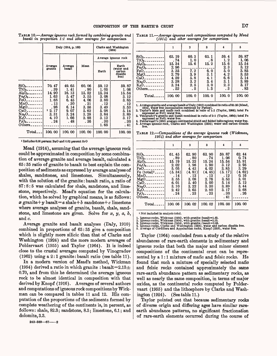TABLE 10. *Average igneous rock formed by combining granite and basalt in proportion 1:1 and other averages for comparison*

|                                                                                                                                                                                                                            |                                                                                         | Daly (1914, p. 169)                                                                      | Clarke and Washington<br>(1924)                                                        |                                                                                                 |                                                                                                 |  |
|----------------------------------------------------------------------------------------------------------------------------------------------------------------------------------------------------------------------------|-----------------------------------------------------------------------------------------|------------------------------------------------------------------------------------------|----------------------------------------------------------------------------------------|-------------------------------------------------------------------------------------------------|-------------------------------------------------------------------------------------------------|--|
|                                                                                                                                                                                                                            |                                                                                         |                                                                                          |                                                                                        |                                                                                                 | Average igneous rock                                                                            |  |
|                                                                                                                                                                                                                            | Average<br>granite                                                                      | Average<br>basalt                                                                        | Mean                                                                                   | Earth                                                                                           | Earth<br>(water and<br>carbon<br>dioxide<br>free)                                               |  |
| $SiO_{2}$ --------<br>$TiO2$ -------<br>$Al_2O_3$ --------<br>$Fe2O3$ ------<br>$FeO_{2}$<br>$MnO$ <sub>--------</sub><br>$MgO$ <sub>--------</sub><br>$CaO$ --------<br>$Na2O-$<br>$K_2O_{\sim}$<br>$P_2O_{6-}$<br>Others | 70.47<br>. 39<br>14.90<br>1.63<br>1.68<br>. 13<br>. 98<br>12.17<br>3.31<br>4.10<br>. 24 | 49.65<br>1.41<br>16. 13<br>5.47<br>6.45<br>. 30<br>6. 14<br>9.07<br>3.24<br>1.66<br>. 48 | 60.06<br>. 90<br>15.52<br>3.55<br>4.06<br>. 21<br>3.56<br>5.62<br>3.28<br>2.88<br>. 36 | 59.12<br>1.05<br>15.34<br>3.08<br>3.80<br>. 12<br>3.49<br>5.08<br>3.84<br>3. 13<br>. 30<br>1.65 | 59.87<br>1.06<br>15.54<br>3. 12<br>3.85<br>. 12<br>3.53<br>5.14<br>3.89<br>3.17<br>. 30<br>. 41 |  |
| $Total_{--}$                                                                                                                                                                                                               | 100.00                                                                                  | 100, 00                                                                                  | 100.00                                                                                 | 100.00                                                                                          | 100.00                                                                                          |  |

i Includes 0.06 percent BaO and 0.02 percent SrO

Mead (1914), assuming that the average igneous rock could be approximated in composition by some combination of average granite and average basalt, calculated a 65:35 ratio of granite to basalt to best explain the composition of sediments as expressed by average analyses of shales, sandstones, and limestones. Simultaneously, with the solution of the granite: basalt ratio, a ratio of 87:8: 5 was calculated for shale, sandstone, and limestone, respectively. Mead's equation for the calculation, which he solved by graphical means, is as follows:  $x$  granite +  $y$  basalt =  $a$  shale +  $b$  sandstone +  $c$  limestone where average analyses of granite, basalt, shale, sandstone, and limestone are given. Solve for  $x, y, a, b$ , and *c.*

Average granite and basalt analyses (Daly, 1910) combined in proportions of 63:35 give a composition which is slightly more silicic than that of Clarke and Washington (1924) and the more modern averages of Poldervaart (1955) and Taylor (1964). It is indeed close to the crustal averages computed by Vinogradov (1962) using a 2:1 granite:basalt ratio (see table 11).

In a modern version of Mead's method, Wickman (1954) derived a ratio in which granite : basalt=2.13 $\pm$ 0.70, and from this he determined the average igneous rock to be almost identical in composition with that derived by Knopf (1916). Averages of several authors and computations of igneous rock compositions by Wickman can be compared in tables 11 and 12. His computation of the proportions of the sediments formed by complete weathering of the continents is, in percent, as follows: shale, 82.3; sandstone, 8.3; limestone, 6.1; and dolomite, 3.3.

**243-569 67 2**

TABLE 11. *Average igneous rock compositions computed by Mead (1914) and other averages for comparison*

|                                 | 1      | 2                                | 3                 | 4     | 5      |
|---------------------------------|--------|----------------------------------|-------------------|-------|--------|
| $\rm SiO_2$ .                   | 63.19  | 60.3                             | 63.1              | 59.4  | 59.87  |
| $TiO2$ -------                  | . 74   | 1.0                              | $\cdot$ 8         | 1, 2  | 1.06   |
| $Al_2O_3$ --------              | 15.34  | 15.6                             | 15.2              | 15.6  | 15.54  |
| $Fe2O3$ -----                   | 2.96   |                                  |                   | 2.3   | 3.12   |
| $FeO_{---}$                     | 3.35   |                                  | 6.0               | 5.0   | 3.85   |
| $MgO$ <sub>--------</sub>       | 2.79   |                                  | 3.1               | 4.2   | 3.53   |
| $CaO-$                          | 4.59   |                                  | $\frac{4}{3}$ . 1 | 6.6   | 5.14   |
| Na <sub>2</sub> O <sub>2</sub>  | 3.28   | $7.2$<br>$3.9$<br>$5.8$<br>$3.2$ |                   | 3.1   | 3.89   |
| $\rm K_2O_{-}\,.\,.\,.\,.\,.\,$ | 3.24   | 2.5                              | 3.0               | 2.3   | 3.17   |
| $Others$ <sub>-----</sub>       | .52    | . 5                              | 1.3               | . 3   | . 83   |
| Total_                          | 100.00 | 100.0                            | 100.0             | 100.0 | 100.00 |

1. A verage granite and average basalt of Daly (1910) combined in ratio of 65:35 (Mead, 1914), water free (computation corrected by Parker).<br>2. Taylor's felsic and matic rock combined in ratio of 1:1 (Taylor, 1964); total

TABLE 12. *Compositions of the average igneous rock (Wickman, 1954) and other averages for comparison*

|                             | 1       | 2      | 3      | 4       | 5      |
|-----------------------------|---------|--------|--------|---------|--------|
|                             |         |        |        |         |        |
| $SiO2$ --------             | 61.45   | 62.90  | 63.90  | 59.87   | 62.44  |
| $TiO2$ ---------            | . 89    | . 80   | . 74   | 1.06    | 0.74   |
| $Al_2O_3$ ----------        | 15.19   | 15.22  | 15.24  | 15.54   | 15.91  |
| $Fe2O8$ --------            | 2.02    | 1.96   | 1.90   | 3.12    | 2.95   |
| $FeO$ ----------            | 5.05    | 4.43   | 4, 02  | 3.85    | 3.29   |
| Fe $(total)^1$              | (5, 34) | (4.81) | (4.45) | (5, 17) | (4.62) |
| $MnO$ <sub>----------</sub> | .14     | .13    | .13    | .12     | 0.16   |
| $MgO$ <sub>----------</sub> | 3.55    | 3.08   | 2.76   | 3.53    | 3.01   |
| $CaO_{\text{max}}$          | 6.01    | 5.40   | 5.00   | 5.14    | 5.12   |
| $Na2O-$ ------              | 3.10    | 3.22   | 3.30   | 3.89    | 3.44   |
| $K_2O_{-}$ --------         | 2.42    | 2.65   | 2.80   | 3.17    | 2.68   |
| $P_2O_5$ ---------          | .24     | . 23   | . 23   | .30     | .26    |
| $Others$ <sub>------</sub>  |         |        |        | .41     |        |
|                             |         |        |        |         |        |
| $Total$ ----                | 100.06  | 100.02 | 100.02 | 100.00  | 100.00 |
|                             |         |        |        |         |        |
|                             |         |        |        |         |        |

i Not included in analysis total.

1. Igneous rocks, Wickman (1954), with granite: basalt=1.43.<br>2. Igneous rocks, Wickman (1954), with granite: basalt=2.13.<br>3. Igneous rocks, Wickman (1954), with granite: basalt=2.83.<br>4. Igneous rocks, Clarke and Washington

Taylor (1964) concluded from a study of the relative abundances of rare-earth elements in sedimentary and igneous rocks that both the major and minor element compositions of the continental crust can be represented by a 1:1 mixture of mafic and felsic rocks. He found that such a mixture of specially selected mafic and felsic rocks contained approximately the same rare-earth abundance pattern as sedimentary rocks, as well as nearly the same composition, in terms of major oxides, as the continental rocks computed by Poldervaart (1955) and the lithosphore by Clarke and Washington (1924). (See table 11.)

Taylor pointed out that because sedimentary rocks of diverse origin and differing ages have similar rareearth abundance patterns, no significant fractionation of rare-earth elements occurred during the course of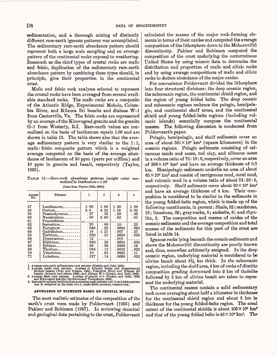sedimentation, and a thorough mixing of distinctly different rare-earth igneous patterns was accomplished. The sedimentary rare-earth abundance pattern should represent both a large scale sampling and an average pattern of the continental rocks exposed to weathering. Inasmuch as the chief types of crustal rocks are mafic and felsic, duplication of the sedimentary rare-earth abundance pattern by combining these types should, in principle, give their proportion in the continental crust.

Mafic and felsic rock analyses selected to represent the crustal rocks have been averaged from several available standard rocks. The mafic rocks are a composite of the Atlantic Ridge, Experimental Mohole, Columbia River, and Kilauea Iki basalts and diabase W-l from Centerville, Va. The felsic rocks are represented by an average of the Kirovograd granite and the granite G-l from Westerly, R.I. Rare-earth values are normalized on the basis of lanthanum equals 1.00 and are shown in table 13. The table shows also that the average sedimentary pattern is very similar to the 1:1, mafic: felsic composite pattern which is a weighted average computed on the basis of the average abundance of lanthanum of 50 ppm (parts per million) and 10 ppm in granite and basalt, respectively (Taylor, 1965).

TABLE 13. *Rare-earth abundance patterns (weight ratio) normalized^to lanthanum= 1.00* [Data from Taylor (1964,1965)]

| Atomic<br>No. | Element                                                                           |              | 2            | 3             | 4            |
|---------------|-----------------------------------------------------------------------------------|--------------|--------------|---------------|--------------|
| 57<br>58      | $Lanthamum$ <sub>--------</sub><br>$Cerium$ <sub>--------------</sub>             | 1.00<br>2.0  | 1.00<br>4.25 | 1.00<br>1.58  | 1.00<br>2.02 |
| 59            | Praseodymium______                                                                | .27          | . 53         | .20           | .26          |
| 60            | Neodymium                                                                         | .90          | 2.60         | .62           | .95          |
| 61<br>62      | $Promethium$<br>$\text{Samarium}\text{-}\text{-}\text{-}\text{-}\text{-}\text{-}$ | .20          | .80          | .10           | .22          |
| 63            | $\rm Europium$ _ _ _ _ _ _ _ _ _ _ _ _                                            | .040         | .32          | .0094         | .062         |
| 64            | $Gadolinium$ --------                                                             | . 18         | 1.21         | . 057         | . 25         |
| 65            | $Terbium$ ----------                                                              | . 030        | $\cdot$ 21   | .0030         | .038         |
| 66<br>67      | $Dv$ sprosium<br>Holmium____________                                              | . 12<br>.040 | . 28         | .018<br>.0034 | .050         |
| 68            | $Erbium$                                                                          | . 09         | . 88         | . 0090        | . 16         |
| 69            | $\text{Thulium}$                                                                  | . 016        | . 12         | .~0016        | .022         |
| 70            | $Ytterbium$                                                                       | . 10         | . 63         | .0035         | . 11         |
| 71            | $Lutetium$ <sub>----------</sub>                                                  | . 017        | . 14         | .0008         | . 023        |

1. Average rare-earth sedimentary rock pattern (Haskin and Gehl, 1962).<br>
2. Average mafie rock pattern. Average of Atlantic Ridge and Experimental<br>
Mohole basalts (Frey and Haskin, 1964), Columbia River and Kilauea Ri<br>
ba

#### ABUNDANCE OF ELEMENTS BASED ON CRUSTAL MODELS

The most realistic estimates of the composition of the earth's crust were made by Poldervaart (1955) and Pakiser and Robinson (1967). In reviewing chemical and geological data pertaining to the crust, Poldervaart calculated the masses of the major rock-forming elements in terms of their oxides and computed the average composition of the lithosphere down to the Mohorovicic discontinuity. Pakiser and Robinson computed the composition of the crust underlying the conterminous United States by using seismic data to determine the distribution and proportion of mafic and silicic rocks and by using average compositions of mafic and silicic rocks to deduce abundance of the major oxides.

For convenience Poldervaart divided the lithosphere into four structural divisions: the deep oceanic region, the suboceanic region, the continental shield region, and the region of young folded belts. The deep oceanic and suboceanic regions embrace the pelagic, hemipelagic, and continental shelf areas, and the continental shield and young folded-belts regions (including volcanic islands) essentially compose the continental masses. The following discussion is condensed from Poldervaart's paper.

Pelagic, hemipelagic, and shelf sediments cover an area of about  $361\times10^6$  km<sup>2</sup> (square kilometers) in the oceanic regions. Pelagic sediments consisting of calcareous sands and oozes, red clay, and siliceous oozes in a volume ratio of 72:19:9, respectively, cover an area of  $268 \times 10^6$  km<sup>2</sup> and have an average thickness of 0.3 km. Hemipelagic sediments underlie an area of about  $63 \times 10^6$  km<sup>2</sup> and consist of terrigenous mud, coral mud, and volcanic mud in a volume ratio of about 74:22:4, respectively. Shelf sediments cover about  $30 \times 10^6$  km<sup>2</sup> and have an average thickness of 4 km. Their composition is considered to be similar to the sediments in the young folded-belts region, which is made up of the following constituents, in percent: Shale, 52; sandstone, 13; limestone, 22; graywacke, 5; andesite, 6; and rhyolite, 2. The composition and masses of oxides of the oceanic sediments and the average composition and total masses of the sediments for this part of the crust are listed in table 14.

Igneous rocks lying beneath the oceanic sediments and above the Mohorovicic discontinuity are poorly known and, thus, somewhat arbitrarily assigned. In the deep oceanic region, underlying material is considered to be olivine basalt about  $5\frac{3}{4}$  km thick. In the suboceanic region, including the shelf area, 4 km of rocks of dioritic composition grading downward into 2 km of tholeiite followed by 5 km of olivine basalt are taken to represent the underlying material.

The continental masses contain a solid sedimentary rock cover averaging about half a kilometer in thickness for the continental shield region and about 5 km in thickness for the young folded-belts region. The areal extent of the continental shields is about  $105 \times 10^6$  km<sup>2</sup> and that of the young folded belts is  $42 \times 10^6$  km<sup>2</sup>. The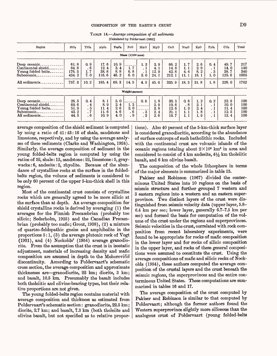| TABLE $14$ —Average composition of all sediments |
|--------------------------------------------------|
| [Calculated by Poldervaart (1955)]               |

| Region                                                                                       | SiO <sub>2</sub>                        | TiO <sub>2</sub>                 | Al <sub>2</sub> O <sub>3</sub>         | Fe <sub>2</sub> O <sub>3</sub>     | FeO                       | MnO                                     | MgO                                | CaO                                    | Na <sub>2</sub> O                                    | $K_2O$                            | $P_2O_5$                                           | CO <sub>2</sub>                        | Total                             |
|----------------------------------------------------------------------------------------------|-----------------------------------------|----------------------------------|----------------------------------------|------------------------------------|---------------------------|-----------------------------------------|------------------------------------|----------------------------------------|------------------------------------------------------|-----------------------------------|----------------------------------------------------|----------------------------------------|-----------------------------------|
|                                                                                              |                                         |                                  |                                        |                                    | Mass $(X1015$ tons)       |                                         |                                    |                                        |                                                      |                                   |                                                    |                                        |                                   |
| Deep oceanic.<br>Continental shield.<br>Young folded belts.<br>Suboceanic.<br>All sediments. | 61.8<br>84.8<br>176.5<br>434.2<br>757.3 | 0.9<br>.6<br>1, 7<br>7.0<br>10.2 | 17.6<br>12.4<br>38.8<br>116.6<br>185.4 | 10.9<br>3.4<br>8.8<br>46.2<br>69.3 | 1.7<br>6.8<br>6.0<br>14.5 | 1.3<br>$\cdot$ 1<br>. 1<br>3.0<br>4.5   | 3.9<br>4.1<br>12.9<br>24.1<br>45.0 | 66.2<br>14.8<br>42.8<br>212.1<br>335.9 | 1. 7<br>1.1<br>4.4<br>11.1<br>18.3                   | 2.6<br>2.9<br>8.2<br>18.1<br>31.8 | 0.4<br>$\cdot$ 1<br>$\cdot$ 3<br>1.0<br>1.8        | 49.7<br>14.0<br>38.7<br>125.6<br>228.0 | 217<br>140<br>340<br>1005<br>1702 |
|                                                                                              |                                         |                                  |                                        |                                    | Weight percent            |                                         |                                    |                                        |                                                      |                                   |                                                    |                                        |                                   |
| Deep oceanic.<br>Continental shield.<br>Young folded belts.<br>Suboceanic_<br>All sediments. | 28.5<br>60.6<br>51.9<br>43.2<br>44.5    | 0.4<br>.4<br>. 5<br>.7<br>.6     | 8.1<br>8.9<br>11.4<br>11.6<br>10.9     | 5.0<br>2.4<br>2.6<br>4.6<br>4.0    | 1, 2<br>2.0<br>. 6<br>. 9 | 0, 6<br>. 3<br>$\overline{\phantom{0}}$ | 1, 8<br>2.9<br>3.8<br>2.4<br>2, 6  | 30.5<br>10.6<br>12.6<br>21.1<br>19.7   | 0.8<br>$\mathbf{.8}^{\circ}$<br>1, 3<br>1. 1<br>1. 1 | 1, 2<br>2.1<br>2.4<br>1, 8<br>1.9 | 0, 2<br>$\cdot$ 1<br>$\cdot$ 1<br>$\cdot$ 1<br>. 1 | 22.9<br>10.0<br>11.4<br>12.5<br>13.4   | 100<br>100<br>100<br>100<br>100   |

average composition of the shield sediment is computed by using a ratio of 41:43:16 of shale, sandstone and limestone, respectively, and by using the average analyses of these sediments (Clarke and Washington, 1924). Similarly, the average composition of sediment in the young folded-belts region is computed by using the ratios of 52, shale: 13, sandstone: 22, limestone: 5, graywacke: 6, andesite: 2, rhyolite. Because of the abundance of crystalline rocks at the surface in the foldedbelts region, the volume of sediments is considered to be only 60 percent of the upper 5-km-thick shell in this region.

Most of the continental crust consists of crystalline rocks which are generally agreed to be more silicic at the surface than at depth. An average composition for shield crystalline rocks is derived by averaging (1) the averages for the Finnish Precambrian (probably too silicic; Sederholm, 1925) and the Canadian Precambrian (probably too mafic; Grout, 1938), (2) a mixture of quartzo-feldspathic gneiss and amphibolite in the proportions 5:1, (3) the average plutonic rock of Vogt (1931), and (4) Nockolds' (1954) average granodiorite. From the assumption that the crust is in isostatic adjustment, materials of increasing density and mafic composition are assumed in depth to the Mohorovicic discontinuity. According to Poldervaart's schematic cross section, the average composition and approximate thicknesses are granodiorite, 22 km; diorite, 3 km; and basalt, 10.5 km. Presumably the basalt includes both tholeiitic and olivine-bearing types, but their relative proportions are not given.

The young folded-belts region contains material with average composition and thickness as estimated from Poldervaart's schematic section: granodiorite, 22.5 km; diorite, 2.7 km; and basalt, 7.3 km (both tholeiite and olivine basalt, but not specified as to relative propor-

tions) . Also 40 percent of the 5-km-thick surface layer is considered granodioritic, according to the abundance of surface outcrops of such batholithic rocks. Included with the continental crust are volcanic islands of the oceanic regions totaling about  $2 \times 10^6$  km<sup>2</sup> in area and considered to consist of  $4 \text{ km}$  andesite,  $4\frac{1}{2} \text{ km}$  tholeiitic basalt, and 6 km olivine basalt.

The composition of the whole lithosphere in terms of the major elements is summarized in table 15.

Pakiser and Robinson (1967) divided the conterminous United States into 10 regions on the basis of seismic structure and further grouped 7 western and 3 eastern regions into a western and an eastern superprovince. Two distinct layers of the crust were distinguished from seismic velocity data (upper layer, 5.8- 6.4 km per sec; lower layer, generally 6.7-7.5 km per sec) and formed the basis for computation of the volume of the crust under the regions and superprovinces. Seismic velocities in the crust, correlated with rock composition from recent laboratory experiments, were found to be appropriate for rocks of mafic composition in the lower layer and for rocks of silicic composition in the upper layer, and rocks of these general compositions were assumed to constitute the crust. Using the average compositions of mafic and silicic rocks of Nockolds (1954), these authors computed the average composition of the crustal layers and the crust beneath the seismic regions, the superprovinces and the entire conterminous United States. These computations are summarized in tables 16 and 17.

The average composition of the crust computed by Pakiser and Robinson is similar to that computed by Poldervaart; although the former authors found the Western superprovince slightly more siliceous than the analogous crust of Poldervaart (young folded-belts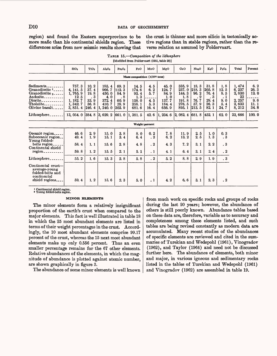# D10 DATA OF GEOCHEMISTRY

region) and found the Eastern superprovince to be more mafic than his continental shields region. These differences arise from new seismic results showing that the crust is thinner and more silicic in tectonically active regions than in stable regions, rather than the reverse relation as assumed by Poldervaart.

|                                                                                                                                       |                                                                                          |                                                     |                                                                                            |                                                     | 1410011100 110111 1 01001 10010 (10001 00010 20)                       |                                                 |                                                                       |                                                                                |                                                         |                                                             |                                                           |                                                                       |                                                                                           |
|---------------------------------------------------------------------------------------------------------------------------------------|------------------------------------------------------------------------------------------|-----------------------------------------------------|--------------------------------------------------------------------------------------------|-----------------------------------------------------|------------------------------------------------------------------------|-------------------------------------------------|-----------------------------------------------------------------------|--------------------------------------------------------------------------------|---------------------------------------------------------|-------------------------------------------------------------|-----------------------------------------------------------|-----------------------------------------------------------------------|-------------------------------------------------------------------------------------------|
|                                                                                                                                       | SiO <sub>2</sub>                                                                         | TiO <sub>2</sub>                                    | Al <sub>2</sub> O <sub>3</sub>                                                             | Fe <sub>2</sub> O <sub>3</sub>                      | FeO                                                                    | MnO                                             | MgO                                                                   | Co <sub>O</sub>                                                                | Na <sub>2</sub> O                                       | $K_2O$                                                      | $P_2O_5$                                                  | Total                                                                 | Percent                                                                                   |
| Mass composition $(X10^{15}$ tons)                                                                                                    |                                                                                          |                                                     |                                                                                            |                                                     |                                                                        |                                                 |                                                                       |                                                                                |                                                         |                                                             |                                                           |                                                                       |                                                                                           |
| Sediments.<br>Granodiorite <sup>1</sup> .<br>Granodiorite 2<br>Andesite.<br>Diorite_<br>Tholeiite.<br>Olivine basalt_<br>Lithosphere. | 757.3<br>4, 141, 5<br>1,765.9<br>12.5<br>1, 182.7<br>1, 342.7<br>3, 851, 4<br>13, 054, 0 | 10.2<br>37.4<br>19.8<br>3<br>33.9<br>36.8<br> 246.4 | 185.4<br>966.7<br>450.0<br>4.0<br>372.4<br>410.7<br> 1, 240. 0<br> 384, 8 3, 629, 2 661, 0 | 69.3<br>112.3<br>84.9<br>8<br>60.9<br>28.9<br>303.9 | 14.5<br>174.6<br>93.4<br>1, 3<br>158.0<br>258.1<br>681.6<br> 1, 381, 5 | 4.5<br>6.2<br>5.7<br>4.5<br>5.3<br>16.4<br>42.6 | 45.0<br>124.7<br>84.9<br>1.0<br>137.7<br>184.4<br>656.9<br> 1, 234, 6 | 335.9<br>237.0<br>144.3<br>1.8<br>191.8<br>276.5<br>895.1<br> 2, 082, 4 681, 8 | 18.3<br> 218.3 <br>96.2<br>. 9<br>76.7<br>57.9<br>213.5 | 31.8<br>205.8<br>76.4<br>3<br>29.4<br>26.3<br>82.1<br>452.1 | 1, 8<br>12.5<br>8.5<br>. 1<br>9,0<br>5, 4<br>24.7<br>62.0 | 1, 474<br>6,237<br>2,830<br>23<br>2, 257<br>2,633<br>8, 212<br>23,666 | $\begin{array}{c} 6.2 \\ 26.3 \end{array}$<br>12.0<br>9.6<br>$\frac{11.1}{34.8}$<br>100.0 |
|                                                                                                                                       |                                                                                          |                                                     |                                                                                            |                                                     |                                                                        | Weight percent                                  |                                                                       |                                                                                |                                                         |                                                             |                                                           |                                                                       |                                                                                           |
| Oceanic region.<br>Suboceanic region<br>Young folded-<br>belts region.<br>Continental shield<br>region_                               | 46.6<br>49.4<br>58.4<br>59.8                                                             | 2.9<br>1.9<br>1, 1<br>1, 2                          | 15.0<br>15.1<br>15.6<br>15.5                                                               | 3.8<br>3.4<br>2.8<br>2.1                            | 8.0<br>6.4<br>4.8<br>5.1                                               | 0, 2<br>$\cdot$ 2<br>$\cdot$ 2<br>. 1           | 7.8<br>6, 2<br>4.3<br>4.1                                             | 11.9<br>13.2<br>7.2<br>6.4                                                     | 2, 5<br>2.5<br>3.1<br>3.1                               | 1.0<br>1, 3<br>2.2<br>2, 4                                  | 0.3<br>. 3<br>. 3<br>$\cdot$ 2                            |                                                                       |                                                                                           |
| Lithosphere.                                                                                                                          | 55.2                                                                                     | 1, 6                                                | 15.3                                                                                       | 2.8                                                 | 5, 8                                                                   | $\cdot$ 2                                       | 5.2                                                                   | 8.8                                                                            | 2.9                                                     | 1.9                                                         | . 3                                                       |                                                                       |                                                                                           |
| Continental crust-<br>average-young<br>folded-belts and<br>continental<br>shield regions                                              | 59.4                                                                                     | 1, 2                                                | 15.6                                                                                       | 2.3                                                 | 5.0                                                                    | $\cdot$ 1                                       | 4.2                                                                   | 6.6                                                                            | 3.1                                                     | 2, 3                                                        | $\cdot$ 2                                                 |                                                                       |                                                                                           |

TABLE 15. *Composition of the lithosphere*  [Modified from Poldervaart (1955, table 20)]

i Continental shield region. »Young folded-belts region.

#### **MINOR ELEMENTS**

The minor elements form a relatively insignificant proportion of the earth's crust when compared to the major elements. This fact is well illustrated in table 18 in which the 25 most abundant elements are listed in terms of their weight percentages in the crust. Accordingly, the 10 most abundant elements comprise 99.17 percent of the crust, whereas the 15 next most abundant elements make up only 0.556 percent. Thus an even smaller percentage remains for the 67 other elements. Relative abundances of the elements, in which the magnitude of abundance is plotted against atomic number, are shown graphically in figure 3.

The abundance of some minor elements is well known

from much work on specific rocks and groups of rocks during the last 20 years; however, the abundance of others is still poorly known. Abundance tables based on these data are, therefore, variable as to accuracy and completeness among these elements listed, and such tables are being revised constantly as modern data are accumulated. Many recent studies of the abundances of specific elements are reviewed and cited in the summaries of Turekian and Wedepohl (1961), Vinogradov (1962), and Taylor (1964) and need not be discussed further here. The abundance of elements, both minor and major, in various igneous and sedimentary rocks listed in the tables of Turekian and Wedepohl (1961) and Vinogradov (1962) are assembled in table 19.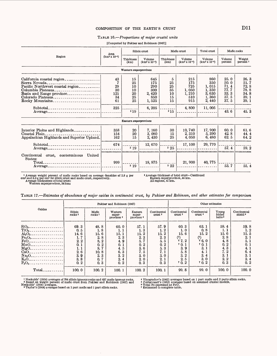# COMPOSITION OF THE EARTH'S CRUST D11

### TABLE 16. *Proportions of major crustal units*

### [Computed by Pakiser and Robinson (1967)]

|                                                                                                                                                                                                                                                                                            | Area                                     |                                               | Silicic crust                                                |                                              | Mafic crust                                                | Total crust                                                        |                                                              | Mafic rocks                                                  |
|--------------------------------------------------------------------------------------------------------------------------------------------------------------------------------------------------------------------------------------------------------------------------------------------|------------------------------------------|-----------------------------------------------|--------------------------------------------------------------|----------------------------------------------|------------------------------------------------------------|--------------------------------------------------------------------|--------------------------------------------------------------|--------------------------------------------------------------|
| Region                                                                                                                                                                                                                                                                                     | $(km^2 x 10^{-4})$                       | Thickness<br>(km)                             | Volume<br>$(km^3 x 10^{-4})$                                 | Thickness<br>(km)                            | Volume<br>$(km^3 x 10^{-4})$                               | Volume<br>$(km^3 x 10^{-4})$                                       | Volume<br>percent                                            | Weight<br>percent <sup>1</sup>                               |
|                                                                                                                                                                                                                                                                                            |                                          | Western superprovince                         |                                                              |                                              |                                                            |                                                                    |                                                              |                                                              |
| California coastal region<br>Sierra Nevada______________________________<br>Pacific Northwest coastal region<br>Columbia Plateaus<br>Basin and Range province<br>Colorado Plateaus<br>Rocky Mountains<br>$Subtotal$ ----------------------------<br>$Average$ ---------------------------- | 43<br>29<br>30<br>121<br>34<br>61<br>325 | 15<br>25<br>10<br>10<br>20<br>25<br>25<br>219 | 645<br>175<br>290<br>300<br>2, 420<br>850<br>1,525<br>6, 205 | 5<br>25<br>25<br>35<br>10<br>15<br>15<br>215 | 215<br>175<br>725<br>1,050<br>1,210<br>510<br>915<br>4,800 | 860<br>350<br>1, 015<br>1,350<br>3,630<br>1,360<br>2,440<br>11,005 | 25.0<br>50.0<br>71.4<br>77.7<br>33.3<br>37.5<br>37.5<br>43.6 | 26.3<br>51.7<br>72.8<br>78.8<br>34.8<br>39.1<br>39.1<br>45.3 |
|                                                                                                                                                                                                                                                                                            |                                          | Eastern superprovince                         |                                                              |                                              |                                                            |                                                                    |                                                              |                                                              |
| Interior Plains and Highlands<br>Coastal Plain.<br>Appalachian Highlands and Superior Upland.                                                                                                                                                                                              | 358<br>154<br>162                        | 20<br>20<br>15                                | 7, 160<br>3,080<br>2,430                                     | 30<br>15<br>25                               | 10, 740<br>2,310<br>4,050                                  | 17,900<br>5,390<br>6,480                                           | 60.0<br>42.8<br>62.5                                         | 61.6<br>44.4<br>64.2                                         |
| Average                                                                                                                                                                                                                                                                                    | 674                                      | 219                                           | 12,670                                                       | 2.25                                         | 17, 100                                                    | 29, 770                                                            | 57.4                                                         | 59.2                                                         |
| Continental crust, conterminous<br>United<br>States:                                                                                                                                                                                                                                       | 999                                      | 219                                           | 18,875                                                       | 22                                           | 21, 900                                                    | 40, 775                                                            | 53.7                                                         | 55.4                                                         |

<sup>1</sup> Average weight percent of mafic rocks based on average densities of 2.8 g per cm<sup>3</sup> and 3.0 g per cm<sup>3</sup> for silicic crust and mafic crust, respectively.<br>Average thicknesses of total crust;<br>Western superprovince, 34 km;

<sup>2</sup> Average thickness of total crust—Continued<br>Eastern superprovince, 44 km.<br>All regions, 41 km.

|                                                                                                                                                                                                                            |                                                                               |                                                                               | Pakiser and Robinson (1967)                                                  |                                                                                               |                                                                               | Other estimates                                                                |                                                                                                 |                                                                                  |                                                                              |  |  |  |
|----------------------------------------------------------------------------------------------------------------------------------------------------------------------------------------------------------------------------|-------------------------------------------------------------------------------|-------------------------------------------------------------------------------|------------------------------------------------------------------------------|-----------------------------------------------------------------------------------------------|-------------------------------------------------------------------------------|--------------------------------------------------------------------------------|-------------------------------------------------------------------------------------------------|----------------------------------------------------------------------------------|------------------------------------------------------------------------------|--|--|--|
| Oxides                                                                                                                                                                                                                     | Silicic<br>rocks <sup>1</sup>                                                 | Mafic<br>rocks <sup>1</sup>                                                   | Western<br>super-<br>province 2                                              | Eastern<br>super-<br>province <sup>2</sup>                                                    | Continental<br>crust <sup>2</sup>                                             | Continental<br>crust <sup>3</sup>                                              | Continental<br>crust <sup>4</sup>                                                               | Young<br>folded<br>belts <sup>5</sup>                                            | Continental<br>shield <sup>5</sup>                                           |  |  |  |
| .<br>$Al_2O_{3-z}$<br>.<br>$Fe2O3-$<br>---------------<br>FeO-------------------<br>$\rm MnO$ <sub>-----------------</sub><br>$MgO_{\text{2}}$<br>$Na_2O_{\text{max}}$<br>. . <b>.</b><br>$\overline{P_2O_5}$<br>. <b></b> | 69.3<br>0.5<br>14.6<br>1.7<br>2.2<br>0.1<br>1.1<br>2.6<br>3.9<br>3, 8<br>0, 2 | 48.8<br>1.8<br>15.6<br>2.8<br>8.2<br>0.2<br>8.7<br>10.8<br>2.3<br>0, 7<br>0.3 | 60.0<br>1.1<br>15.1<br>2.3<br>4.9<br>0.1<br>4.5<br>6.3<br>3.2<br>2, 4<br>0.2 | 57.1<br>1.3<br>15.2<br>2.3<br>5.<br>$\boldsymbol{2}$<br>0.<br>5, 6<br>7.5<br>3.0<br>20<br>0.3 | 57.9<br>1, 2<br>15.2<br>2.3<br>5.5<br>0.2<br>5.3<br>7.1<br>3.0<br>2, 1<br>0.3 | 60.3<br>1.0<br>15.6<br>(6)<br>67.2<br>70.1<br>3.9<br>5.8<br>3.2<br>2.5<br>70.2 | 63.1<br>0.8<br>$\overline{2}$<br>15.<br>(6)<br>66.0<br>70.1<br>3.1<br>4.1<br>3.4<br>3.0<br>70.2 | 58.4<br>1. 1<br>15.6<br>2.8<br>4.8<br>0, 2<br>4.3<br>7.2<br>3.1<br>$2\,2$<br>0.3 | 59.8<br>1.2<br>15.5<br>2, 1<br>5.1<br>0.1<br>4.1<br>6.4<br>3.1<br>2.4<br>0.2 |  |  |  |
| Total.                                                                                                                                                                                                                     | 100.0                                                                         | 100.2                                                                         | 100.1                                                                        | 100.2                                                                                         | 100.1                                                                         | 99.8                                                                           | 99.0                                                                                            | 100.0                                                                            | 100.0                                                                        |  |  |  |

<sup>1</sup> Nockolds' (1954) averages of 794 silicic igneous rocks and 637 mafic igneous rocks.<br>**2** Based on weight percent of mafic crust from Pakiser and Robinson (1967) and<br>Nockolds' (1954) averages based on 1 part mafic and 1

 $\bar{\bar{z}}$ 

\* Vinogradov's (1962) averages based on 1 part mafic and 2 parts silicic rocks. ' Poldervaart's *(1955)* averages based on assumed crustal models. ' Total Fe expressed as FeO. ' Estimated to complete table.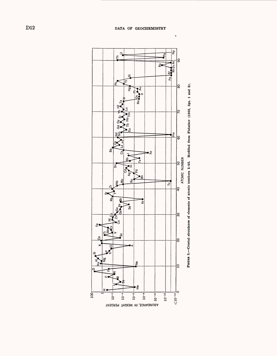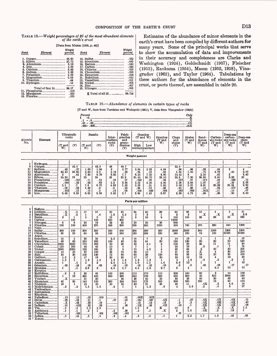TABLE 18. *Weight percentages of 25 of the most abundant elements of the earth's crust*

# [Data from Mason (1958, p. 44)]

| Rank | Element                                                      | Weight<br>percent | Rank | Element                                  | Weight<br>percent |
|------|--------------------------------------------------------------|-------------------|------|------------------------------------------|-------------------|
|      | 1. $Oxygen$ <sub>11111111111111111111111</sub> 46.60         |                   |      | 14. Sulfur<br>15. Strontium              | .052<br>.045      |
|      | 4. Iron                                                      | 5.00              |      | 16. Barium<br>17. Carbon                 | .040<br>.032      |
|      | 5. Calcium<br>6. Sodium                                      | 3.63<br>2.83      |      |                                          | .020<br>.020      |
|      | 7. Potassium<br>8. Magnesium                                 | 2.59<br>2.09      |      | 20. Zirconium<br>21. Rubidium            | .016<br>. 012     |
|      | 9. Titanium<br>10. Hydrogen                                  | .44<br>.14        |      | 22. Vanadium<br>23. Nickel               | .011<br>.008      |
|      | Total of first 10 99.17                                      |                   |      | 24. Zinc                                 | .007<br>.005      |
|      | 11. Phosphorus <sub>------------------</sub><br>13. Fluorine | .118<br>.070      |      | 25. Nitrogen<br><b>E</b> Total of all 25 | 99.726            |
|      |                                                              |                   |      |                                          |                   |

Estimates of the abundance of minor elements in the earth's crust have been compiled by different authors for many years. Some of the principal works that serve to show the accumulation of data and improvements in their accuracy and completeness are Clarke and Washington (1924), Goldschmidt (1937), Fleischer (1953), Eankama (1954), Mason (1952, 1958), Vinogradov (1962), and Taylor (1964). Tabulations by these authors for the abundance of elements in the crust, or parts thereof, are assembled in table 20.

#### TABLE 19. *Abundance of elements in certain types of rocks*

[T and W, data from Turekian and Wedepohl (1961); V, data from Vlnogradov (1962)]

| Percent. |  |
|----------|--|
|          |  |
|          |  |
|          |  |
|          |  |

| Atomic | Element | Ultramafic<br>$_{\rm rocks}$ |     |             | <b>Basalts</b> | Inter-<br>Imediatel     | Felsic<br>granites<br>and | $(T \text{ and } W)$ | Granites                 | Syenites<br>(T and | Clays<br>and  | Shales<br>(T<br>and | Sand-<br>stones | Carbon-<br>late rocks late rocks | Deep-sea<br>carbon- | Deep-sea<br>clays |
|--------|---------|------------------------------|-----|-------------|----------------|-------------------------|---------------------------|----------------------|--------------------------|--------------------|---------------|---------------------|-----------------|----------------------------------|---------------------|-------------------|
| No.    |         | (T)<br>' and<br>W)           | (V) | (T and<br>W | (V)            | rocks<br>$(\mathbf{V})$ | grano-<br>diorites<br>(V) | High                 | Low<br>icalciumicalciumi | w.                 | shales<br>(V) | W                   | (T and<br>W.    | (T and<br>W                      | (T and<br>W)        | (T and<br>W)      |
|        |         |                              |     |             |                |                         |                           | Weight percent       |                          |                    |               |                     |                 |                                  |                     |                   |

|    | Hydrogen.                     |                   |           |      |       |      |      |       |       |       |       |      |       |       |       |      |
|----|-------------------------------|-------------------|-----------|------|-------|------|------|-------|-------|-------|-------|------|-------|-------|-------|------|
|    | Oxvgen                        |                   | 42.5      |      | 43.5  | 46   | 48.7 |       |       |       | 52.8  |      |       |       |       |      |
|    | Sodium                        | .42               | . 57      | 1.80 | 1.94  |      | 2.77 | 2.84  | 2.58  | 4.04  | .66   | .96  | . 33  | .04   |       |      |
| 12 | Magnesium                     | 20.40             | 25.90     | 4.60 | 4. 5  | 2.18 | .56  | .94   | .16   | . 58  | 1.34  | 1.50 | .70   | 4.70  | . 40  | 2.10 |
| 13 | Aluminum                      |                   | . 45      | 7.80 | 8.76  | 8.85 | 7.7  | 8.20  | 7.20  | 8.80  | 10.45 |      | 2.50  | .42   | ົ     | 8.40 |
| 14 | 6 Silicon                     | 20.50             | 19        | 23   | 24    | 26   | 32.3 | 31.40 | 34.70 | 29.10 | 23.8  | 7.30 | 36.80 | 2, 40 | 3.20  | 25   |
| 15 | Phosphorus                    | . 0221            | .017      | . 11 | . 14  | .16  | .07  | .092  | . 06  | .08   | .077  | .07  | .017  | .04   | .035  | . 15 |
| 19 | Potassium                     | .004 <sup>1</sup> | .03       | .83  | .83   | 2.3  | 3.34 | 2.52  | 4.20  | 4.80  | 2.28  | 2.66 | 1.07  | .27   | .29   | 2.50 |
| 20 | $Calcium$ <sub>--------</sub> | 2.5               | $\cdot$ . | 7.6  | 6, 72 | 4.65 | 1.58 | 2.53  | . 51  | 1.80  | 2.53  | 2.21 | 3.91  | 30.23 | 31.24 | 2.90 |
| 22 | . Titanium                    | .03               | .03       | 1.38 |       | . 8  | . 23 | .34   | .12   | .35   | .45   | . 46 | .15   | .04   | .077  | . 46 |
| 25 | Manganese                     | . 162             | .15       | .15  |       | .12  | .06  | .054  | . 039 | .085  | .067  | .085 | .00X  | .11   | .10   | .67  |
| 26 |                               | 9.43              | 9.85      | 8.65 | 3.56  | 5.85 | 2.7  | 2.96  | 42    | 3.67  | 3, 33 | 4.72 | .98   | .38   | .90   | 6.50 |

**Parts per million**

| 2                       | Helium.                             |                         |                  |              |                      |                 |           |                  |                |                |                  |           |              |               |                  |                  |
|-------------------------|-------------------------------------|-------------------------|------------------|--------------|----------------------|-----------------|-----------|------------------|----------------|----------------|------------------|-----------|--------------|---------------|------------------|------------------|
| $\overline{\mathbf{a}}$ | $Lithium$ <sub>--------</sub>       | $\cdot x$               | . 5              | 17           | 15                   | 20              | 40        | 24               | 40             | 28             | 60               | 66        | 15           | 5             | 5                | 57               |
|                         | Beryllium                           | $\overline{\mathbf{x}}$ | $\cdot$ 2        | 1            | $\cdot$ <sup>4</sup> | 1.8             | 5.5       | $\boldsymbol{2}$ | -3             | 1              | 3                | 3         | $\cdot$ X    | $\cdot x$     | $\mathbf x$      | 2.6              |
|                         | Boron.<br>.                         | 3                       |                  | 5            | 5                    | 15              | 15        | 9                | 10             | <b>g</b>       | 100              | 100       | 35           | 20            | 55               | 230              |
|                         | $Carbon$ <sub>---------</sub>       |                         | 100              |              | 100                  | 200             | 300       |                  |                |                | 10000            |           |              |               |                  |                  |
|                         | Nitrogen                            | 6                       | 6                | ----<br>20   | 18                   | 22              | 20        | 20               | 20             | 30             | 600              |           |              |               |                  |                  |
|                         |                                     |                         | 100              |              | 370                  |                 | 800       | 520              | 850            | 1200           |                  | 740       | 270          | 330           | 540              | 1300             |
|                         | $Fluorine$ <sub>--------</sub>      | 100                     |                  | 400          |                      | 500             |           |                  |                |                | 500              |           |              |               |                  |                  |
| 10                      | $Neon$ <sub>-----------</sub>       |                         | ----             | ---          |                      | ---             |           |                  | ---            |                |                  |           |              |               | 1300             | 1300             |
| 16                      | Sultur                              | 300                     | 100              | 300          | 300                  | 200             | 400       | 1300             | 1300           | 300            | 3000             | 2400      | 240          | 1200          |                  |                  |
| 17                      | Chlorine                            | 85                      | 50               | 60           | 50                   | 100             | 240       | 130              | 200            | 520            | 160              | 180       | 10           | 150           | 21000            | 21000            |
| 18                      | $Argon$ <sub>----</sub>             |                         |                  |              |                      |                 |           |                  |                |                |                  |           |              |               |                  |                  |
| 21                      | Scandium.                           | 15                      | 5                | 30           | 24                   | 2.5             | 3         | 14               | $\overline{7}$ | 3              | 10               | 13        | 1            | 1             | $\boldsymbol{2}$ | 19               |
| 23                      | Vanadium.                           | 40                      | 40               | 250          | 200                  | 100             | 40        | 88               | 44             | 30             | 130              | 130       | 20           | 20            | 20               | 120              |
| 24                      | Chromium.                           | 1600                    | 12000            | 170          | 200                  | 50              | 25        | $\overline{22}$  | 4.1            | $\overline{2}$ | 100              | 90        | 35           | 11            | 11               | 90               |
| 27                      | Cobalt.                             | 150                     | 200              | 48           | 45                   | 10              | 5         | 7                | 1              | $\mathbf{1}$   | 20               | 19        | $\cdot$ 3    | $\cdot$ 1     | 7                | 74               |
| 28                      | $Nickel$ <sub>----------</sub>      | 12000                   | 12000            | 130          | 160                  | 55              | 8         | 15               | 4.5            |                | 95               | 68        | 2            | 20            | 30               | 225              |
| 29                      | $Copper$ <sub>----------</sub>      | 10                      | 20               | 87           | 100                  | 35              | 20        | 30               | 10             | 5              | 57               | 45        | X.           | 4             | 30               | 250              |
| 30                      | $\rm Zinc$ <sub>-------------</sub> | 50                      | 30               | 105          | 130                  | $\overline{72}$ | 60        | 60               | 39             | 130            | 80               | 95        | 16           | 20            | 35               | 165              |
| 31                      | $Gallium$ <sub>---------</sub>      | 1.5                     | $\mathbf{2}$     | 17           | 18                   | 20              | 20        | 17               | 17             | 30             | 30               | 19        | 12           | 4             | 13               | 20               |
| 32                      | Germanium                           | 1.5                     |                  | 1.3          | 1.5                  | 1.5             | 1.4       | 1.3              | 1.3            | 1              | $\overline{2}$   | 1.6       | .8           | $\cdot$ 2     | . 2              | $\boldsymbol{2}$ |
| 33                      | Arsenic                             |                         |                  |              |                      | 2.4             | 1.5       | 1.9              | 1.5            | 1.4            | 6.6              | 13        |              | 1             | 1                | 13               |
|                         |                                     |                         | . 5              | $\mathbf{2}$ | $\mathbf{2}$         |                 |           |                  |                | .05            |                  | .6        | .05          | .08           | . 17             | .17              |
| 34                      | $Selenium$ <sub>-------</sub>       | .05                     | .05              | .05          | .05                  | .05             | .05       | .05              | .05            |                | .6               |           |              | 6.2           | 70               | 70               |
| 35                      | $Bromine$ <sub>---------</sub>      | 1.                      | - 5              | 3.6          | 3                    | 4.5             | 1.7       | 4.5              | 1.3            | 2.7            | 6                | 4         | 1            |               |                  |                  |
| 36                      | Krypton                             |                         |                  |              |                      |                 |           |                  |                |                |                  |           |              |               |                  |                  |
| 37                      | $Rubidium$ <sub>------</sub>        | $\cdot$ 2               | $\boldsymbol{2}$ | 30           | 45                   | 100             | 200       | 110              | i170           | 110            | 200              | 140       | 60           | 3             | 10               | 100              |
| 38                      | Strontium                           |                         | 10               | 465          | 440                  | 800             | 300       | 440              | 1100           | 200            | 450              | 300       | 20           | 610           | 2000             | 180              |
| 39                      | Yttrium                             | $\overline{\mathbf{x}}$ |                  | 21           | 20                   |                 | 34        | 35               | 40             | 20             | 30               | 26        | 40           | 30            | 42               | 90               |
| 40                      | Zirconium                           | 45                      | 30               | 140          | 100                  | 260             | 200       | 140              | 175            | 500            | 200              | 160       | 220          | 19            | 20               | 150              |
| 41                      | Niohium                             | 16                      | 1.               | 19           | 20                   | 20              | 20        | 20               | 21             | 35             | 20               | 11        | .0X          | $\cdot$ 3     | 4.6              | 14               |
| 42                      | Molybdenum.                         | $\cdot$ 3               | $\cdot$ 2        | 1.5          | 1.4                  | .9              | 1         | -1               | 1.3            | .6             | $\boldsymbol{2}$ | 2.6       | $\cdot$ 2    | $\cdot$       | 3                | 27               |
| 43                      | Technetium.                         |                         |                  |              |                      |                 |           |                  |                |                |                  |           |              |               |                  |                  |
| 44                      | Ruthenium                           |                         |                  |              |                      |                 |           |                  |                |                |                  |           |              |               |                  |                  |
| 45                      | Rhodium.                            |                         |                  |              |                      |                 |           |                  |                |                |                  |           |              |               |                  |                  |
| 46                      | Palladium                           | .12                     | .12              | .02          | .019                 |                 | .01       | .00X             | .00X           |                |                  |           |              |               |                  |                  |
| 47                      | Silver.<br>.                        | .06                     | .05              | .11          | $\cdot$ 1            | .07             | .05       | .051             | .037           | .0X            | $\cdot$          | .07       | .0X          | .0X           | .0X              | .11              |
| 48                      | Cadmium                             | $\cdot X$               | .05              | .22          | .19                  |                 | $\cdot$ 1 | .13              | .13            | .13            | $\cdot$ 3        | $\cdot$ 3 | .0X          | .035          | .0X              | $\overline{42}$  |
|                         | $Indium$ <sub>----------</sub>      | .01                     | .013             | .22          | .22                  |                 | .26       | .0X              | .26            | .0X            | . 05             | $\cdot$ 1 | .0X          | .0X           | .0X              | .08              |
| 49                      | Tin.                                |                         |                  |              |                      |                 | 3         | 1.5              |                | x              | 10               | 6         | $\mathbf{X}$ | . $\mathbf x$ | $\cdot x$        | 1.5              |
| 50                      |                                     | . 5                     | .5               | 1.5          | 1.5                  |                 |           |                  | 3              | $\cdot x$      | $\mathbf{2}$     | 1.5       | .0X          | $\cdot^2$     | .15              | $\mathbf{1}$     |
| 51                      | Antimony <sub>------</sub>          | $\cdot$ 1               | $\cdot$ 1        | $\cdot$ 2    | 1.                   | $\cdot$ 2       | .26       | $\cdot$ 2        | $\cdot$ 2      |                |                  |           |              |               |                  |                  |
| 52                      | Tellurium.                          | .                       | .001             | ---          | .001                 | .001            | .001      |                  |                |                | .01              |           |              |               |                  | .05              |
| 53                      | Iodine <sub>----------</sub>        | $-5$                    | .01              | . 5          | $-5$                 | $\cdot$ 3       | .4        | . 5              | .5             | . 5            | 1                | 2.2       | 1.7          | 1.2           | .05              |                  |
| 54                      | $Xenon$ .                           |                         |                  |              |                      |                 |           |                  |                |                |                  |           |              |               |                  |                  |
|                         |                                     |                         |                  |              |                      |                 |           |                  |                |                |                  |           |              |               |                  |                  |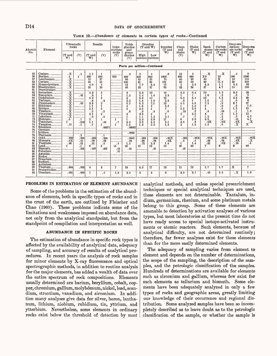# D14 DATA OF GEOCHEMISTRY

| Atomic<br>No.                                                                          | Element                                                                                                                                                                                                                                                                                                                     | rocks<br>(T and<br>W)                                                                               | Ultramafic<br>(V)                                         | (T and<br>W)                                                                                        | <b>Basalts</b><br>(V)                                                                                                                          | Inter-<br>$\rm mediate$<br>rocks<br>(V) | Felsic<br>granites<br>and<br>grano-<br>diorites<br>(V)                                           | High                                                                                           | Granites<br>$(T$ and $W)$<br>Low<br>calcium calcium                                                                     | Syenites<br>(T and<br>W)                                                       | Clavs<br>and<br>shales<br>(V)                                                                  | <b>Shales</b><br>(T and<br>W                                                                    | Sand-<br>stones<br>(T and<br>W)                                                                                     | Carbon<br>ate rocks<br>(T and<br>W                                                                                       | Deep-sea<br>carbon-<br>ate rocks<br>(T and<br>W)                                                       | Deep-sea<br>clays<br>(T and<br>W)                                                         |
|----------------------------------------------------------------------------------------|-----------------------------------------------------------------------------------------------------------------------------------------------------------------------------------------------------------------------------------------------------------------------------------------------------------------------------|-----------------------------------------------------------------------------------------------------|-----------------------------------------------------------|-----------------------------------------------------------------------------------------------------|------------------------------------------------------------------------------------------------------------------------------------------------|-----------------------------------------|--------------------------------------------------------------------------------------------------|------------------------------------------------------------------------------------------------|-------------------------------------------------------------------------------------------------------------------------|--------------------------------------------------------------------------------|------------------------------------------------------------------------------------------------|-------------------------------------------------------------------------------------------------|---------------------------------------------------------------------------------------------------------------------|--------------------------------------------------------------------------------------------------------------------------|--------------------------------------------------------------------------------------------------------|-------------------------------------------------------------------------------------------|
|                                                                                        |                                                                                                                                                                                                                                                                                                                             |                                                                                                     |                                                           |                                                                                                     |                                                                                                                                                |                                         | Parts per million-Continued                                                                      |                                                                                                |                                                                                                                         |                                                                                |                                                                                                |                                                                                                 |                                                                                                                     |                                                                                                                          |                                                                                                        |                                                                                           |
| 55<br>56<br>57<br>58<br>59<br>60<br>61                                                 | Cesium<br>$Barium$ <sub>---------</sub><br>$L$ anthanum<br>$Cerium$ <sub>111</sub><br>Praseodymium.<br>Neodymium<br>Promethium.                                                                                                                                                                                             | $\cdot x$<br>$\frac{1}{12}$<br>$\frac{1}{12}$<br>$\frac{1}{12}$<br>$\frac{1}{12}$<br>$\frac{1}{12}$ | $\cdot$ 1<br>1                                            | 1.1<br>330<br>15<br>48<br>4.6<br>20                                                                 | $\mathbf{1}$<br>300<br>27<br>45<br>4<br>20                                                                                                     | 650                                     | .5<br>830<br>60<br>100<br>12<br>46                                                               | $\mathbf{2}$<br>420<br>45<br>81<br>7.7<br>33                                                   | $\overline{4}$<br>840<br>55<br>92<br>8.8<br>37                                                                          | .6<br>1600<br>70<br>161<br>15<br>65                                            | 12<br>800<br>40<br>50<br>5<br>23                                                               | 5<br>580<br>92<br>59<br>5.6<br>24                                                               | $\cdot x$<br>X <sub>0</sub><br>30<br>$92\,$<br>8.8<br>37                                                            | $\cdot x$<br>10<br>$\overline{\mathbf{x}}$<br>11.5<br>1.1<br>4.7                                                         | .4<br>190<br>10<br>35<br>3.3<br>14                                                                     | 6<br>2300<br>115<br>345<br>33<br>140                                                      |
| 62<br>63<br>64<br>65<br>66<br>67<br>68<br>69<br>70<br>71<br>72<br>73<br>74<br>75<br>76 | $Samarium$ <sub>------</sub><br>$Euro="11111$<br>Gadolinium<br>Terbium.<br>Dysprosium<br>$H\ddot{\text{ol}}$ mium<br>$Erbium$ <sub>--------</sub><br>$Thulium$ <sub>-------</sub><br>$Ytterbium$ <sub>-----</sub><br>$Lutetium$ <sub>-------</sub><br>Hafnium<br>Tantalum<br>Tungsten<br>Rhenium<br>$Osmium$ <sub>1,1</sub> | <b>XXXXXXXXXXXXXXXX</b><br>.6<br>1<br>.77<br>.<br>-------                                           | .01<br>.05<br>$- - -$<br>$\cdot$ 1<br>.018<br>$\cdot$ 1   | 5.3<br>.8<br>5, 3<br>.8<br>3.8<br>1.1<br>2.1<br>$\cdot$ 2<br>2.1<br>.6<br>$\mathbf{2}$<br>1.1<br>.7 | 5<br>$\mathbf{1}$<br>5<br>$\overline{\mathbf{8}}$<br>2<br>1<br>$\overline{2}$<br>$\boldsymbol{2}$<br>$\mathbf{2}$<br>. 6<br>.48<br>1<br>.00071 | 1<br>.7<br>1.                           | 9<br>1.5<br>9<br>2.5<br>6.7<br>$\mathbf{2}$<br>4<br>$\cdot$ 3<br>1<br>1.<br>3.5<br>1.5<br>.00067 | 8.8<br>1.4<br>8.8<br>1.4<br>6.3<br>1, 8<br>3.5<br>$\cdot$ 3<br>3.5<br>1.1<br>2.3<br>3.6<br>1.3 | 10<br>1.6<br>10<br>1.6<br>7.2<br>$\mathbf{2}$<br>$\overline{4}$<br>$\ddot{\mathbf{3}}$<br>4<br>1.2<br>3.9<br>4.2<br>2.2 | 18<br>2.8<br>18<br>2.8<br>13<br>3.5<br>7<br>.6<br>7<br>2.1<br>11<br>2.1<br>1.3 | 6.5<br>1<br>6.5<br>$\cdot$ 9<br>4.5<br>1.<br>2.5<br>.25<br>3<br>.7<br>6<br>3.5<br>$\mathbf{2}$ | 6.4<br>1<br>6.4<br>1.<br>4.6<br>1.2<br>2.5<br>$\cdot$ 2<br>2.6<br>.7<br>2.8<br>$\cdot$ 8<br>1.8 | 10<br>1.6<br>10<br>1.6<br>7.2<br>$\boldsymbol{2}$<br>4<br>$\overline{\mathbf{3}}$<br>4<br>1, 2<br>3.9<br>.0x<br>1.5 | 1, 3<br>$\cdot$ 2<br>1.3<br>$\cdot$ 2<br>$\cdot$ 9<br>. 3<br>.5<br>.04<br>.5<br>$\overline{2}$<br>$\cdot$ 3<br>.0X<br>.6 | 3.8<br>.6<br>3.8<br>.6<br>2,7<br>$\cdot$ 8<br>1.5<br>$\cdot$ 1<br>1.5<br>.5<br>.41<br>.0X<br>$\cdot X$ | 38<br>6<br>$\frac{38}{6}$<br>27<br>7.5<br>15<br>1.2<br>15<br>4.5<br>4.1<br>$\cdot x$<br>x |
| 77<br>78<br>79<br>80<br>81<br>82<br>83<br>84<br>85<br>86<br>87                         | $Iridium$ <sub>--------</sub> $\vert$ ---<br>$Platinum$ <sub>111</sub><br>Gold <sub>-</sub><br>----------<br>$Mercury$ <sub>-------</sub><br>Thallium<br>$Lead_{\text{max}}$<br>$Bismuth$ <sub>--------</sub><br>$A^{statine}$                                                                                              | ----<br>.006<br>.0X<br>.06<br>1.                                                                    | $\cdot$ 2<br>.005<br>.01<br>.01<br>$\cdot$ 1<br>.001<br>. | .004<br>.09<br>.21<br>6.<br>.007<br>$\sim$ 200 $\mu$ 200 $\mu$ 200 $\mu$                            | $\cdot$ 1<br>.004<br>.09<br>$\cdot$ 2<br>8<br>.007                                                                                             | .5<br>15<br>.01<br>.01                  | .0063<br>.0045<br>.08<br>1.5<br>20<br>.01                                                        | .004<br>.08<br>.72<br>15                                                                       | .004<br>.08<br>2,3<br>19<br>.01                                                                                         | .00X<br>.0X<br>1.4<br>12                                                       | .001<br>.4<br>1<br>20<br>.01                                                                   | .00X<br>$\cdot$ <sup>4</sup><br>1.4<br>20                                                       | .00X<br>.03<br>.82<br>7                                                                                             | .00X<br>.04<br>.0X<br>9                                                                                                  | .00X<br>.0X<br>.16<br>9                                                                                | $\ddot{\bm{8}}$<br>80                                                                     |
| 88<br>89<br>90<br>91<br>92                                                             | Radium<br>$\textbf{A}$ ctinium<br>Thorium<br>Protactinium<br>Uranium                                                                                                                                                                                                                                                        | .004<br>.001                                                                                        | .005<br>.003                                              | 4<br>1                                                                                              | 3<br>$\ddot{5}$                                                                                                                                | $\overline{7}$<br>1.8                   | 18<br>3.5                                                                                        | 8.5<br>3                                                                                       | 17<br>3                                                                                                                 | 13<br>3                                                                        | 11<br>3.2                                                                                      | 12<br>3.7                                                                                       | 1.7<br>.45                                                                                                          | 1,7<br>2.2                                                                                                               | x<br>$\cdot$ X                                                                                         | 7<br>1.3                                                                                  |

TABLE 19.—Abundance of elements in certain types of rocks—Continued

#### **PROBLEMS IN ESTIMATION OF ELEMENT ABUNDANCE**

Some of the problems in the estimation of the abundance of elements, both in specific types of rocks and in the crust of the earth, are outlined by Fleischer and Chao (1960). These problems indicate some of the limitations and weaknesses imposed on abundance data, not only from the analytical standpoint, but from the standpoint of compilation and interpretation as well.

## **ABUNDANCE IN SPECIFIC BOCKS**

The estimation of abundance in specific rock types is affected by the availability of analytical data, adequacy of sampling, and accuracy of results of analytical procedures. In recent years the analysis of rock samples for minor elements by X-ray fluorescence and optical spectrographic methods, in addition to routine analysis for the major elements, has added a wealth of data over the entire spectrum of rock compositions. Elements usually determined are barium, beryllium, cobalt, copper, chromium, gallium, molybdenum, nickel, lead, scandium, strontium, vanadium, and zirconium. In addition many analyses give data for silver, boron, lanthanum, lithium, niobium, rubidium, tin, yttrium, and ytterbium. Nevertheless, some elements in ordinary rocks exist below the threshold of detection by most analytical methods, and unless special preenrichment techniques or special analytical techniques are used, these elements are not determinable. Tantalum, indium, germanium, rhenium, and some platinum metals belong to this group. Some of these elements are amenable to detection by activation analyses of various types, but most laboratories at the present time do not have ready access to special isotope-activated instruments or atomic reactors. Such elements, because of analytical difficulty, are not determined routinely; therefore, far fewer analyses exist for these elements than for the more easily determined elements.

The adequacy of sampling varies from element to element and depends on the number of determinations, the scope of the sampling, the description of the samples, and the petrologic classification of the samples. Hundreds of determinations are available for elements such as zirconium and gallium, whereas few exist for such elements as tellurium and bismuth. Some elements have been adequately analyzed in only a few types of rocks and geographic areas, greatly limiting our knowledge of their occurrence and regional distribution. Some analyzed samples have been so incompletely described as to leave doubt as to the petrologic classification of the sample, or whether the sample is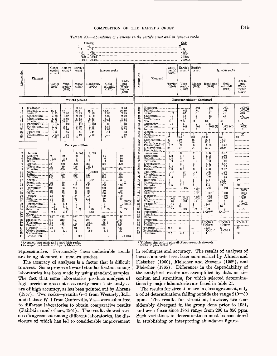# COMPOSITION OF THE EARTH'S CRUST D15

TABLE 20. *Abundance of elements in the earth's crust and in igneous rocks*



|                                                                                                                                                                                                                                 |                                                                                                                                                                                                                                                                                                                                                                                                                                                                                                                                                                                                                                                                                                                     | Conti-<br>nental<br>crust <sup>1</sup>                                                                             | $\operatorname{Earth's}$<br>crust <sup>2</sup>                                                                                                                                                        | $_{\rm Earth's}$<br>crust                                                                                                                                                                                                                    |                                                                                                                                                                                                                                                   | Igneous rocks                                                                                                                                                                   |                                                                                                                                                                                                                                           | ż.                                                                                                                                                                                           |                                                                                                                                                                                                                                                                                                                                                                                                                                                                                                                                | $_{\rm Conti}$ -<br>nental<br>crust <sup>1</sup>                                                                                                                                | Earth's<br>crust <sup>2</sup>                                                                                                                                                                       | Earth's<br>crust                                                                                                                                                                                           |                                                                                                                                                                                                                                                            | <b>Tgneous</b> rocks                                                                                                                                                                                                                                                         |                                                                                                                  |
|---------------------------------------------------------------------------------------------------------------------------------------------------------------------------------------------------------------------------------|---------------------------------------------------------------------------------------------------------------------------------------------------------------------------------------------------------------------------------------------------------------------------------------------------------------------------------------------------------------------------------------------------------------------------------------------------------------------------------------------------------------------------------------------------------------------------------------------------------------------------------------------------------------------------------------------------------------------|--------------------------------------------------------------------------------------------------------------------|-------------------------------------------------------------------------------------------------------------------------------------------------------------------------------------------------------|----------------------------------------------------------------------------------------------------------------------------------------------------------------------------------------------------------------------------------------------|---------------------------------------------------------------------------------------------------------------------------------------------------------------------------------------------------------------------------------------------------|---------------------------------------------------------------------------------------------------------------------------------------------------------------------------------|-------------------------------------------------------------------------------------------------------------------------------------------------------------------------------------------------------------------------------------------|----------------------------------------------------------------------------------------------------------------------------------------------------------------------------------------------|--------------------------------------------------------------------------------------------------------------------------------------------------------------------------------------------------------------------------------------------------------------------------------------------------------------------------------------------------------------------------------------------------------------------------------------------------------------------------------------------------------------------------------|---------------------------------------------------------------------------------------------------------------------------------------------------------------------------------|-----------------------------------------------------------------------------------------------------------------------------------------------------------------------------------------------------|------------------------------------------------------------------------------------------------------------------------------------------------------------------------------------------------------------|------------------------------------------------------------------------------------------------------------------------------------------------------------------------------------------------------------------------------------------------------------|------------------------------------------------------------------------------------------------------------------------------------------------------------------------------------------------------------------------------------------------------------------------------|------------------------------------------------------------------------------------------------------------------|
| Atomic No.                                                                                                                                                                                                                      | Element                                                                                                                                                                                                                                                                                                                                                                                                                                                                                                                                                                                                                                                                                                             | Taylor<br>(1964)                                                                                                   | Vino-<br>gradov<br>(1962)                                                                                                                                                                             | Mason<br>(1958)                                                                                                                                                                                                                              | Rankama<br>(1954)                                                                                                                                                                                                                                 | Gold-<br>schmidt<br>(1937)                                                                                                                                                      | Clarke<br>and<br>Wash-<br>ington<br>(1924)                                                                                                                                                                                                | Atomic                                                                                                                                                                                       | Element                                                                                                                                                                                                                                                                                                                                                                                                                                                                                                                        | Taylor<br>(1964)                                                                                                                                                                | Vino-<br>grado<br>(1962)                                                                                                                                                                            | Mason<br>(1958)                                                                                                                                                                                            | Rankama<br>(1954)                                                                                                                                                                                                                                          | Gold-<br>schmidt<br>(1937)                                                                                                                                                                                                                                                   | Clarke<br>and<br>Wash-<br>ington<br>(1924)                                                                       |
|                                                                                                                                                                                                                                 |                                                                                                                                                                                                                                                                                                                                                                                                                                                                                                                                                                                                                                                                                                                     |                                                                                                                    |                                                                                                                                                                                                       | Weight percent                                                                                                                                                                                                                               |                                                                                                                                                                                                                                                   |                                                                                                                                                                                 |                                                                                                                                                                                                                                           |                                                                                                                                                                                              |                                                                                                                                                                                                                                                                                                                                                                                                                                                                                                                                |                                                                                                                                                                                 | Parts per million-Continued                                                                                                                                                                         |                                                                                                                                                                                                            |                                                                                                                                                                                                                                                            |                                                                                                                                                                                                                                                                              |                                                                                                                  |
| 1<br>8<br>11<br>12<br>$\overline{13}$<br>14<br>15<br>19<br>$\frac{20}{22}$<br>$\frac{25}{26}$                                                                                                                                   | Hydrogen<br>$Oxygen$ <sub>--------</sub><br>$Sodium_{\tt -122222}$<br>Magnesium<br>Aluminum<br>$Silicon$ <sub>---------</sub><br>Phosphorus <sub>---</sub><br>Potassium<br>Calcium<br>$T$ itanium<br>Manganese<br>$\text{Iron}$ <sub>------------</sub>                                                                                                                                                                                                                                                                                                                                                                                                                                                             | 46.4<br>2.36<br>2.33<br>8.23<br>28.15<br>.105<br>2.09<br>4.15<br>.57<br>.095<br>5.63                               | 47<br>2.50<br>1.87<br>8.05<br>29.5<br>.093<br>2.5<br>2.96<br>.45<br>.10<br>4.65                                                                                                                       | 0.14<br>46.6<br>2.83<br>2.09<br>8.13<br>27.72<br>. 118<br>2.59<br>3.63<br>.44<br>.10<br>5.                                                                                                                                                   | 46.6<br>2.83<br>2.09<br>8.13<br>27.72<br>.118<br>2.59<br>3.63<br>.44<br>.10<br>5.                                                                                                                                                                 | 46.6<br>2.83<br>2.09<br>8.13<br>27.72<br>.08<br>2.59<br>3.63<br>.44<br>.10<br>5.                                                                                                | 0.13<br>46.59<br>2,85<br>2.09<br>8.13<br>27.72<br>.13<br>2.60<br>3.63<br>.63<br>.10<br>5.01                                                                                                                                               | 45<br>46<br>47<br>48<br>49<br>50<br>51<br>52<br>53<br>54<br>55<br>56                                                                                                                         | $Rhodium$ <sub>-----</sub> $\frac{1}{2}$ -------<br>$Palladium_{\ldots}$ -------<br>Silver <sub>---------</sub><br>Cadmium<br>Indium<br>Tin<br>Antimony<br>$T$ ellurium<br>$Iodine$ <sub>----------</sub><br>Xenon<br>$Cesium$ <sub>-------</sub><br>$Barium$ <sub>--------</sub>                                                                                                                                                                                                                                              | .07<br>$\cdot$ 2<br>$\cdot$ 1<br>$\mathbf{2}$<br>$\cdot$ 2<br>.<br>.5<br>3<br>425                                                                                               | .013<br>. 07<br>.13<br>.25<br>2.5<br>. 5<br>.001<br>. 4<br>3.7<br>650                                                                                                                               | .001<br>. 01<br>$\cdot$ 1<br>$\cdot$ 2<br>$\cdot$ 1<br>3<br>$\cdot$ 2<br>.002<br>. 3<br>-1<br>400                                                                                                          | .001<br>.01<br>$\cdot$ 1<br>. 15<br>. 11<br>40<br>1(?)<br>.0018(?)<br>. 3<br>6<br>1000                                                                                                                                                                     | . 001<br>.01<br>$\cdot$ 1<br>. 5<br>. 1<br>40<br>$\mathbf{1}$<br>.0018(?)<br>. 3<br>250                                                                                                                                                                                      | . $0000\mathrm{X}$<br>.0000X<br>.0X<br>$\cdot$ X<br>$.0000\rm X$<br>. X<br>.00X<br>. X<br>$\cdot$ X<br>500       |
|                                                                                                                                                                                                                                 |                                                                                                                                                                                                                                                                                                                                                                                                                                                                                                                                                                                                                                                                                                                     |                                                                                                                    |                                                                                                                                                                                                       | Parts per million                                                                                                                                                                                                                            |                                                                                                                                                                                                                                                   |                                                                                                                                                                                 |                                                                                                                                                                                                                                           | 57<br>58<br>59<br>60                                                                                                                                                                         | $L$ anthanum<br>Cerium<br>Praseodymium.<br>Neodymium                                                                                                                                                                                                                                                                                                                                                                                                                                                                           | 30<br>60<br>8.2<br>28                                                                                                                                                           | 29<br>70<br>-9<br>37                                                                                                                                                                                | 18<br>46<br>6<br>24                                                                                                                                                                                        | 18.3<br>46.1<br>5,53<br>23.9                                                                                                                                                                                                                               | 18.3<br>46.1<br>5.53<br>23.9                                                                                                                                                                                                                                                 |                                                                                                                  |
| $\overline{2}$<br>3<br>4<br>5<br>6<br>7<br>g<br>10<br>16<br>$\frac{17}{18}$<br>21<br>23<br>24<br>$\frac{27}{28}$<br>30<br>$\frac{31}{32}$<br>$\frac{33}{34}$<br>$\frac{35}{36}$<br>37<br>38<br>39<br>40<br>41<br>42<br>43<br>44 | Helium<br>Lithium<br>Beryllium<br>$Boron$ <sub>---------</sub><br>$Carbon$ <sub>-------------</sub> $200$<br>Nitrogen<br>$Fluorine$ <sub>------</sub> $ 625$<br>Sulfur <sub>----------</sub>  260<br>Chlorine <sub>-------</sub> [130<br>Argon<br>Scandium<br>$Vanadium$ $ 135$<br>$Chromium$ <sub>-----</sub> $100$<br>$\text{Cobalt}\,$<br>Nickel_________<br>$Copper$ <sub>---------</sub><br>Zinc____________<br>Gallium<br>Germanium<br>Arsenic<br>$Selenium$ <sub>------</sub><br>$Bromine$ <sub>------</sub><br>$Krypton$ <sub>------</sub><br>Rubidium<br>$Strontium$ <sub>-----</sub> $ 375$<br>$Yttrium$ <sub>--------</sub><br>$Zireonium$ <sub>------</sub> $165$<br>Niobium<br>Molybdenum<br>Ruthenium | 20<br>2.8<br>-10<br>20<br>22<br>25<br>75<br>55<br>70<br>15<br>1.5<br>1.8<br>. 05<br>2.5<br>-90<br>-33<br>20<br>1.5 | 32<br>3.8<br>12<br>230<br>19<br>660<br>470<br>170<br>$\sim$ $-$<br>10<br>90<br>83<br>18<br>58<br>47<br>83<br>19<br>1.4<br>1.7<br>.05<br>2.1<br>150<br>340<br>29<br>170<br>20<br>1.1<br>. . <b>. .</b> | 0.003<br>30<br>$\boldsymbol{2}$<br>$\mathbf{a}$<br>320<br>46<br>700<br>520<br>200<br>.04<br>5<br>110<br>200<br>23<br>80<br>45<br>65<br>15<br>$\boldsymbol{2}$<br>$\boldsymbol{2}$<br>.09<br>3<br>120<br>450<br>40<br>160<br>24<br>-1<br>.001 | 0.003<br>22<br>$\overline{2}$<br>$\boldsymbol{\mathsf{a}}$<br>320<br>46.3<br>700<br>00007<br>520<br>314<br>.04<br>20<br>150<br>200<br>23<br>80<br>55<br>111<br>16<br>$\overline{7}$<br>5<br>.09<br>1.62<br>350<br>220<br>28.1<br>185<br>24<br>2.5 | 65<br>6<br>$\mathbf{R}$<br>320<br>300<br>520<br>480<br>$\overline{5}$<br>150<br>200<br>40<br>100<br>100<br>40<br>15<br>7<br>5<br>. 09<br>310<br>150<br>28.1<br>220<br>20<br>1.5 | 40<br>10<br>10<br>320<br>300<br>520<br>480<br>$\mathbf x$<br>. X<br>170<br>370<br>10<br>200<br>100<br>40<br>.0000X<br>.0000X<br>$\overline{\mathbf{x}}$<br>.0X<br>$\mathbf{x}$<br>х<br>190<br>3150<br>260<br>430<br>$\mathbf x$<br>.0000X | 61<br>62<br>63<br>64<br>65<br>66<br>67<br>68<br>69<br>70<br>71<br>72<br>73<br>74<br>75<br>76<br>77<br>78<br>79<br>80<br>81<br>82<br>83<br>84<br>85<br>86<br>87<br>88<br>89<br>90<br>91<br>92 | Promethium<br>$Samarium$ <sub>-----</sub><br>$Euro="111111$<br>Gadolinium<br>Terbium<br>$Dysproxium$ <sub></sub><br>$H\overline{olmium}$ <sub>-----</sub><br>$Erbium$ <sub>-------</sub><br>Thulium<br>Ytterbium<br>$Lutetium$<br>Hafnium<br>Tantalum<br>Tungsten<br>$O}_{\text{s}}$<br>$Iridium$ <sub>-------</sub>  --------<br>$Platinum_{\texttt{max}}$<br>Mercury<br>Thallium<br>Lead<br>$Bismuth$ <sub>------</sub><br>Radium<br>$\text{Actinium}$<br>$Thorium$ <sub>------</sub><br>Protactinium<br>$U$ ranium $\ldots$ | 6<br>1.2<br>5.4<br>.9<br>3<br>1, 2<br>2.8<br>.48<br>3<br>.5<br>3<br>$\mathbf{2}$<br>1.5<br>.004<br>.08<br>.45<br>12.5<br>$\overline{17}$<br>--------<br>9,6<br>$- - - -$<br>2.7 | 8<br>1.3<br>8<br>4.3<br>5.<br>1.7<br>3.3<br>.27<br>.33<br>.8<br>1<br>2.5<br>1.3<br>.0007<br>---------<br>--------<br>.0043<br>.083<br>$\mathbf{1}$<br>16<br>.009<br>--------- --------<br>13<br>2.5 | 7<br>1<br>6<br>.9<br>5<br>1<br>3<br>$\cdot$ 2<br>3<br>.8<br>5<br>$\mathbf{2}$<br>$\mathbf{1}$<br>.001<br>.001<br>.001<br>.005<br>.005<br>. 5<br>$\mathbf{1}$<br>15<br>$\mathbb{Z}$ .<br>10<br>$\mathbf{2}$ | 6.47<br>1.06<br>6.36<br>. 91<br>4.47<br>1.15<br>2.47<br>.20<br>2.66<br>.75<br>4.5<br>2.1<br>1, 5<br>.05<br>.001<br>.005<br>.005<br>.077<br>1,3<br>15<br>$\cdot$ 2<br>$3 \times 10^{-10}$<br>.<br>.<br>$3\times10^{-10}$<br>11.5<br>$8 \times 10^{-7}$<br>4 | 6.47<br>1.06<br>6.36<br>. 91<br>4.47<br>1.15<br>2.47<br>.20<br>2.66<br>.75<br>4.5<br>15(?)<br>69<br>.001<br>.001<br>.005<br>.005<br>. 5<br>$\cdot$ 3<br>16<br>$\cdot$ 2<br>$3 \times 10^{-10}$<br>$1.3 \times 10^{-6}$<br>$3\times10^{-10}$<br>12<br>$8 \times 10^{-7}$<br>4 | 30<br>50<br>.000X<br>.000X<br>.00X<br>.00X<br>.x<br>$000\text{X}$<br>20<br>.0X<br>$X \times 10^{-6}$<br>20<br>80 |

i Average 1 part mafic and 1 part felsic rocks. \* Average 1 part mafic and 2 parts felsic rocks.

representative. Fortunately these undesirable trends are being stemmed in modern studies.

The accuracy of analyses is a factor that is difficult to assess. Some progress toward standardization among laboratories has been made by using standard samples. The fact that some laboratories produce analyses of high precision does not necessarily mean their analyses are of high accuracy, as has been pointed out by Ahrens (1957). Two rocks-granite G-1 from Westerly, R.I., and diabase  $W-1$  from Centerville,  $Va$ . --were submitted to different laboratories to obtain comparative results (Fairbairn and others, 1951). The results showed serious disagreement among different laboratories, the disclosure of which has led to considerable improvement

Yttrium plus cerium plus all other rare-earth elements. 4 Niobium plus tantalum.

in techniques and accuracy. The results of analyses of these standards have been summarized by Ahrens and Fleischer (1960), Fleischer and Stevens (1962), and Fleischer (1965). Differences in the dependability of the analytical results are exemplified by data on zirconium and strontium, for which selected determinations by major laboratories are listed in table 21.

The results for zirconium are in close agreement, only 5 of 24 determinations falling outside the range  $210 \pm 30$ ppm. The results for strontium, however, are considerably divergent in the group done prior to 1951, and even those since 1954 range from 200 to 350 ppm. Such variations in determinations must be considered in establishing or interpreting abundance figures.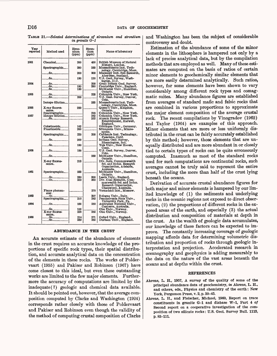TABLE 21. *Selected determinations of zirconium and strontium in granite G-l*

| Year<br>reported | Method used                                     | Zirco-<br>nium<br>(ppm) | <b>Stron-</b><br>tium<br>(ppm) | Name of laboratory                                                                                    |
|------------------|-------------------------------------------------|-------------------------|--------------------------------|-------------------------------------------------------------------------------------------------------|
| 1951             | $Chemical$ <sub>--------</sub>                  | 200                     | 450                            | British Museum of Natural                                                                             |
|                  | Spectrographic                                  | 280                     | 250                            | History, London.<br>Massachusetts Inst. Tech-                                                         |
|                  | ------ <sup>do</sup> ------------               | 200                     | 900                            | nology, Cambridge, Mass.<br>Macauley Inst. Soil Research,                                             |
|                  | ------do-------------                           | 190                     | 120                            | Aberdeen, Scotland.<br>U.S. Geol. Survey, Wash-                                                       |
| 1954             | -----do------------l-------<br>do <b></b><br>do | 180<br>130              | 200<br>280                     | ington, D.C.<br>Great Britain Geol. Survey.<br>Cambridge Univ., England.<br>McMaster Univ., Hamilton, |
| 1955             | --- <sup>do</sup> -------------  <i>--</i> ---- |                         | 225                            | Ontario.<br>Columbia Univ., New York.                                                                 |
|                  | do                                              | 200                     |                                | U.S. Geol. Survey, Denver,                                                                            |
|                  | Isotope dilution                                |                         | 233                            | Colo.<br>Massachusetts Inst. Tech-                                                                    |
| 1956             | X-ray fluores-<br>cence.                        | 220                     |                                | nology, Cambridge, Mass.<br>Queen's Univ., Kingston,<br>Ontario.                                      |
| 1957             | ----do- <i>--</i> ---------                     | .                       | 218<br>262<br>252              | Columbia Univ., New York.<br>Columbia Univ., New York.<br>Atomic Energy Research                      |
|                  |                                                 |                         |                                | Establishment, Harwell,<br>England.                                                                   |
|                  | Colorimetric <sub>------</sub><br>Fluorimetric  | 162<br>200              |                                | Göttingen Univ., Germany.<br>Minnesota Univ., Minne-                                                  |
|                  | Spectrographic                                  | 220                     | 200                            | apolis.<br>California Inst. Technology,                                                               |
|                  | ------do-------------                           | 200                     |                                | Pasadena, Calif.<br>Indiana Geol. Survey,                                                             |
|                  | -----do------------l                            | 180                     | . <b>.</b> .                   | Bloomington, Ind.<br>Yale Univ., New Haven,                                                           |
| 1958             | -----do--------------                           | 190                     |                                | Conn.<br>U.S. Geol. Survey, Denver,                                                                   |
|                  | $\cdots$ do $\cdots$                            |                         | 250                            | Colo.<br>McMaster Univ., Hamilton,                                                                    |
|                  | X-ray fluores-<br>cence.                        | 213                     |                                | Ontario.<br>Div. Soils, Commonwealth<br>Sci. and Indus. Research<br>Organization, Adelaide,           |
| 1961             | Spectrographic                                  | 233                     |                                | Australia.<br>McMaster Univ., Hamilton,                                                               |
|                  | . <b>do.</b><br>-----do------------             | 230<br>250              | 300<br>350                     | Ontario.<br>Leeds Univ., England.<br>Div. Coal Research, Com-                                         |
|                  |                                                 |                         |                                | monwealth Sci. and Indus.<br>Research Organization,                                                   |
|                  | Flame photom-<br>eter.                          |                         | 270                            | Chatswood, Australia.<br>Vernadskii Inst., Moscow.                                                    |
| 1963             | ---do-----<br>Spectrographic                    | 210                     | 307<br>262                     | Bologna Univ., Italy.<br>Pennsylvania State Univ.,                                                    |
| 1964             | -----do------------                             | 185                     | 250                            | University Park, Pa.<br>Australian National Univ.,                                                    |
|                  | do<br>X-ray fluores-<br>cence.                  | 155<br>220              | 265                            | Canberra, Australia.<br>Olso Univ., Norway.<br>Olso Univ., Norway.                                    |
| 1965             | -----do-------------l<br>----do-------------    | 214<br>239              | 271<br>265                     | Oxford Univ., England.<br>Durham Univ., England.                                                      |

### ABUNDANCE IN THE CRUST

An accurate estimate of the abundance of elements in the crust requires an accurate knowledge of the proportions of specific rock types, their spatial distribution, and accurate analytical data on the concentration of the elements in these rocks. The works of Poldervaart (1955) and Pakiser and Robinson (1967) have come closest to this ideal, but even these outstanding works are limited to the few major elements. Furthermore the accuracy of computations are limited by the inadequate (?) geologic and chemical data available. It should be pointed out, however, that the average composition computed by Clarke and Washington (1924) corresponds rather closely with those of Poldervaart and Pakiser and Robinson even though the validity of the method of computing crustal composition of Clarke and Washington has been the subject of considerable controversy and doubt.

Estimation of the abundance of some of the minor elements in the lithosphere is hampered not only by a lack of precise analytical data, but by the compilation methods that are employed as well. Many of these estimates are computed on the basis of ratios of certain minor elements to geochemically similar elements that are more easily determined analytically. Such ratios, however, for some elements have been shown to vary considerably among different rock types and comagmatic suites. Many abundance figures are established from averages of standard mafic and felsic rocks that are combined in various proportions to approximate the major element composition of the average crustal rock. The recent compilations by Vinogradov (1962) and Taylor (1964) are examples of this approach. Minor elements that are more or less uniformly distributed in the crust can be fairly accurately established by this method; however, those elements that are unequally distributed and are more abundant in or closely tied to certain types of rocks can be quite erroneously computed. Inasmuch as most of the standard rocks used for such computations are continental rocks, such averages cannot be truly said to represent the entire crust, including the more than half of the crust lying beneath the oceans.

Derivation of accurate crustal abundance figures for both major and minor elements is hampered by our limited knowledge of (1) the sediments and underlying rocks in the oceanic regions not exposed to direct observation, (2) the proportions of different rocks in the exposed areas of the earth, and especially (3) the actual distribution and composition of materials at depth in the crust. As the wealth of geologic data accumulates, our knowledge of these factors can be expected to improve. The constantly increasing coverage of geologic mapping affords data for determining volumetric distribution and proportion of rocks through geologic interpretation and projection. Accelerated research in oceanography and geophysics is adding measurably to the data on the nature of the vast areas beneath the oceans and at depths within the crust.

#### REFERENCES

- Ahrens, L. H., 1957, A survey of the quality of some of the principal abundance data of geochemistry, in Ahrens, L. H., and others, eds., Physics and chemistry of the earth: New York, Pergamon Press, v. 2, p. 30-45.
- Ahrens, L. H., and Fleischer, Michael, 1960, Report on trace constituents in granite G-l and diabase W-l, Part 4 *of*  Second report on a cooperative investigation of the composition of two silicate rocks: U.S. Geol. Survey Bull. 1113, p. 83-111.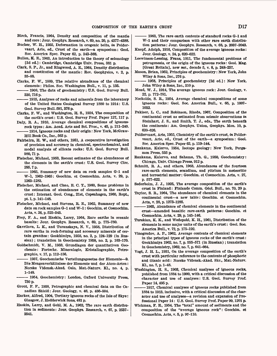- Birch, Francis, 1964, Density and composition of the mantle and core: Jour. Geophys. Research, v. 69, no. 20, p. 4377-4388.
- Bucher, W. H., 1955, Deformation in erogenic belts, *in* Poldervaart, Arie, ed., Crust of the earth-a symposium: Geol. Soc. America Spec. Paper 62, p. 343-368.
- Bullen, K. E., 1963, An introduction to the theory of seismology [3d ed.]: Cambridge, Cambridge Univ. Press, 381 p.
- Clark, S. P., Jr., and Ringwood, A. E., 1964, Density distribution and constitution of the mantle: Rev. Geophysics, v. 2, p. 35-88.
- Clarke, F. W., 1889, The relative abundance of the chemical elements: Philos. Soc. Washington Bull., v. 11, p. 135.
- 1908, The data of geochemistry: U.S. Geol. Survey Bull. 330, 716 p.
- 1915, Analyses of rocks and minerals from the laboratory of the United States Geological Survey 1880 to 1914: U.S. Geol. Survey Bull. 591,376 p.
- Clarke, F. W., and Washington, H. S., 1924, The composition of the earth's crust: U.S. Geol. Survey Prof. Paper 127, 117 p.
- Daly, R. A., 1910, Average chemical compositions of igneousrock types: Am. Acad. Arts and Sci. Proc., v. 45, p. 211-240. 1914, Igneous rocks and their origin: New York, McGraw-Hill Book Co., Inc., 563 p.
- Fairbairn, H. W., and others, 1951, A cooperative investigation of precision and accuracy in chemical, spectrochemical, and modal analysis of silicate rocks: U.S. Geol. Survey Bull. 980, 71 p.
- Fleischer, Michael, 1953, Recent estimates of the abundances of the elements in the earth's crust: U.S. Geol. Survey Circ. 285,7 p.
- 1965, Summary of new data on rock samples G-l and W-l, 1962-1965: Geochim. et Cosmochim. Acta, v. 29, p. 1263-1283.
- Fleischer, Michael, and Chao, E. C. T., 1960, Some problems in the estimation of abundances of elements in the earth's crust: Internat. Geol. Cong., 21st, Copenhagen, 1960, Kept, pt. 1, p. 141-148.
- Fleischer, Michael, and Stevens, R. E., 1962, Summary of new data on rock samples G-l and W-l: Geochim. et Cosmochim. Acta, v. 26, p. 525-543.
- Frey, F. A., and Haskin, Larry, 1964, Rare earths in oceanic basalts: Jour. Geophys. Research, v. 69, p. 775-780.
- Gavrilova, L. K., and Turanskaya, N. V., 1958, Distribution of rare earths in rock-forming and accessory minerals of certain granites: Geokhimiya, 1958, no. 2, p. 124-129 (in Russian) ; translation in Geochemistry 1958, no. 2, p. 163-170.
- Goldschmidt, V. M., 1933, Grundlagen der quantitativen Geochemie: Fortschr. Mineralogie, Kristallographie, Petrographic, v. 17, p. 112-156,
- 1937, Geochemische Verteilungsgesetze der Elemente-9. Die Mengenverhaltnisse der Elemente und der Atom-Arten: Norske Vidensk.-Akad. Oslo, Mat.-Naturv. KL, no. 4, p. 1-148.
- 1954, Geochemistry: London, Oxford University Press, 730 p.
- Grout, F. F., 1938, Petrographic and chemical data on the Canadian Shield: Jour. Geology, v. 46, p. 486-504.
- Harker, Alfred, 1904, Tertiary igneous rocks of the Isle of Skye: Glasgow, J. Hedderwick Sons, 481 p.
- Haskin, Larry, and Gehl, M. A., 1962, The rare earth distribution in sediments: Jour. Geophys. Research, v. 67, p. 2537- 2541.

 1963, The rare earth contents of standard rocks G-l and W-l and their comparison with other rare earth distribution patterns: Jour. Geophys. Research, v. 68, p. 2037-2043.

- Knopf, Adolph, 1916, Composition of the average igneous rocks: Jour. Geology, v. 24, p. 620-622.
- Loewinson-Lessing, Franz, 1911, The fundamental problems of petrogenesis, or the origin of the igneous rocks: Geol. Mag. [Great Britain], new ser., decade 5, v. 8, p. 248-257.
- Mason, Brian, 1952, Principles of geochemistry: New York, John Wiley & Sons, Inc., 276 p.
- 1958, Principles of geochemistry [2d ed.]: New York, John Wiley & Sons, Inc., 310 p.
- Mead, W. J., 1914, The average igneous rock: Jour. Geology, v. 22, p. 772-781.
- Nockolds, S. R., 1954, Average chemical compositions of some igneous rocks: Geol. Soc. America Bull., v. 65, p. 1007- 1032.
- Pakiser, L. C., and Robinson, Rhoda, 1967, Composition of the continental crust as estimated from seismic observations *in* Steinhart, J. S., and Smith, T. J., eds., The earth beneath the continents: Am. Geophys. Union, Geophys. Mon. 10, p. 620-626.
- Poldervaart, Arie, 1955, Chemistry of the earth's crust, *in* Poldervaart, Arie, ed., Crust of the earth-a symposium: Geol. Soc. America Spec. Paper 62, p. 119-144.
- Rankama, Kalervo, 1954, Isotope geology: New York, Pergamon Press, 535 p.
- Rankama, Kalervo, and Sahama, Th. G., 1950, Geochemistry: Chicago, Univ. Chicago Press, 912 p.
- Schmitt, R. A., and others, 1963, Abundances of the fourteen rare-earth elements, scandium, and yttrium in meteoritic and terrestrial matter: Geochim. et Cosmochim. Acta, v. 27, p. 577-622.
- Sederholm, J. J., 1925, The average composition of the earth's crust in Finland: Finlande Comm. G6ol. Bull., no. 70, 20 p.
- Taylor, S. R., 1964, The abundance of chemical elements in the continental crust-a new table: Geochim. et Cosmochim. Acta, v. 28, p. 1273-1285.
- 1965, Abundance of chemical elements in the continental crust amended basaltic rare-earth patterns: Geochim. et Cosmochim. Acta, v. 29, p. 145-146.
- Turekian, K. K., and Wedepohl, K. H., 1961, Distribution of the elements in some major units of the earth's crust: Geol. Soc. America Bull., v. 72, p. 175-192.
- Vinogradov, A. P., 1962, Average contents of chemical elements in the principal types of igneous rocks of the earth's crust: Geokhimiya 1962, no. 7, p. 555-571 (in Russian) ; translation in Geochemistry, 1962, no. 7, p. 641-664.
- Vogt, J. H. L., 1931, On the average composition of the earth's crust with particular reference to the contents of phosphoric and titanic acid: Norske Vidensk.-Akad. Skr., Mat-Naturv. KL, no. 7, p. 1-48.
- Washington, H. S., 1903, Chemical analyses of igneous rocks, published from 1884 to 1900, with a critical discussion of the character and use of analyses: U.S. Geol. Survey Prof. Paper 14,495 p.
- 1917, Chemical analyses of igneous rocks published from 1884 to 1913, inclusive, with a critical discussion of the character and use of analyses-a revision and expansion of Professional Paper 14: U.S. Geol. Survey Prof. Paper 99,1201 p.
- Wickman, F. E., 1954, The "total" amount of sediments and the composition of the "average igneous rock": Geochim. et Cosmochim. Acta, v. 5, p. 97-110.